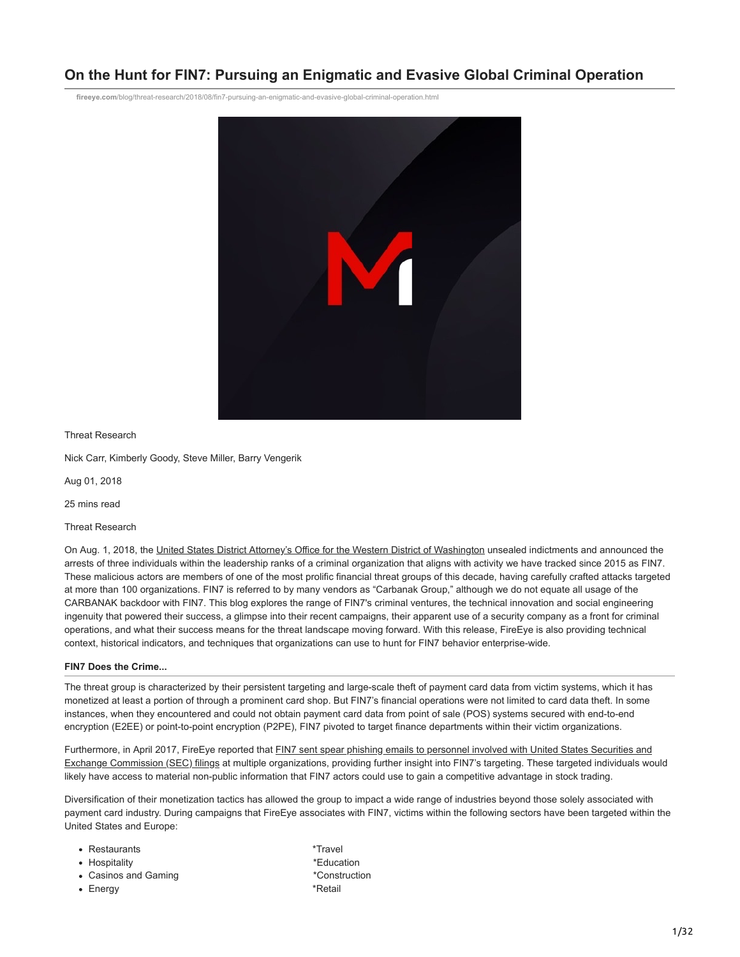# **On the Hunt for FIN7: Pursuing an Enigmatic and Evasive Global Criminal Operation**

**fireeye.com**[/blog/threat-research/2018/08/fin7-pursuing-an-enigmatic-and-evasive-global-criminal-operation.html](https://www.fireeye.com/blog/threat-research/2018/08/fin7-pursuing-an-enigmatic-and-evasive-global-criminal-operation.html)



Threat Research

Nick Carr, Kimberly Goody, Steve Miller, Barry Vengerik

Aug 01, 2018

25 mins read

Threat Research

On Aug. 1, 2018, the [United States District Attorney's Office for the Western District of Washington](https://www.justice.gov/opa/pr/three-members-notorious-international-cybercrime-group-fin7-custody-role-attacking-over-100) unsealed indictments and announced the arrests of three individuals within the leadership ranks of a criminal organization that aligns with activity we have tracked since 2015 as FIN7. These malicious actors are members of one of the most prolific financial threat groups of this decade, having carefully crafted attacks targeted at more than 100 organizations. FIN7 is referred to by many vendors as "Carbanak Group," although we do not equate all usage of the CARBANAK backdoor with FIN7. This blog explores the range of FIN7's criminal ventures, the technical innovation and social engineering ingenuity that powered their success, a glimpse into their recent campaigns, their apparent use of a security company as a front for criminal operations, and what their success means for the threat landscape moving forward. With this release, FireEye is also providing technical context, historical indicators, and techniques that organizations can use to hunt for FIN7 behavior enterprise-wide.

# **FIN7 Does the Crime...**

The threat group is characterized by their persistent targeting and large-scale theft of payment card data from victim systems, which it has monetized at least a portion of through a prominent card shop. But FIN7's financial operations were not limited to card data theft. In some instances, when they encountered and could not obtain payment card data from point of sale (POS) systems secured with end-to-end encryption (E2EE) or point-to-point encryption (P2PE), FIN7 pivoted to target finance departments within their victim organizations.

[Furthermore, in April 2017, FireEye reported that FIN7 sent spear phishing emails to personnel involved with United States Securities and](https://www.fireeye.com/resources/fin7-spear-phishing-campaign-targets-personnel-involved-sec-filings) Exchange Commission (SEC) filings at multiple organizations, providing further insight into FIN7's targeting. These targeted individuals would likely have access to material non-public information that FIN7 actors could use to gain a competitive advantage in stock trading.

Diversification of their monetization tactics has allowed the group to impact a wide range of industries beyond those solely associated with payment card industry. During campaigns that FireEye associates with FIN7, victims within the following sectors have been targeted within the United States and Europe:

| Restaurants | *Travel |
|-------------|---------|
|-------------|---------|

- Hospitality **\*Education** \*\* **Education**
- Casinos and Gaming **\*Construction**
- 
- Energy \*Retail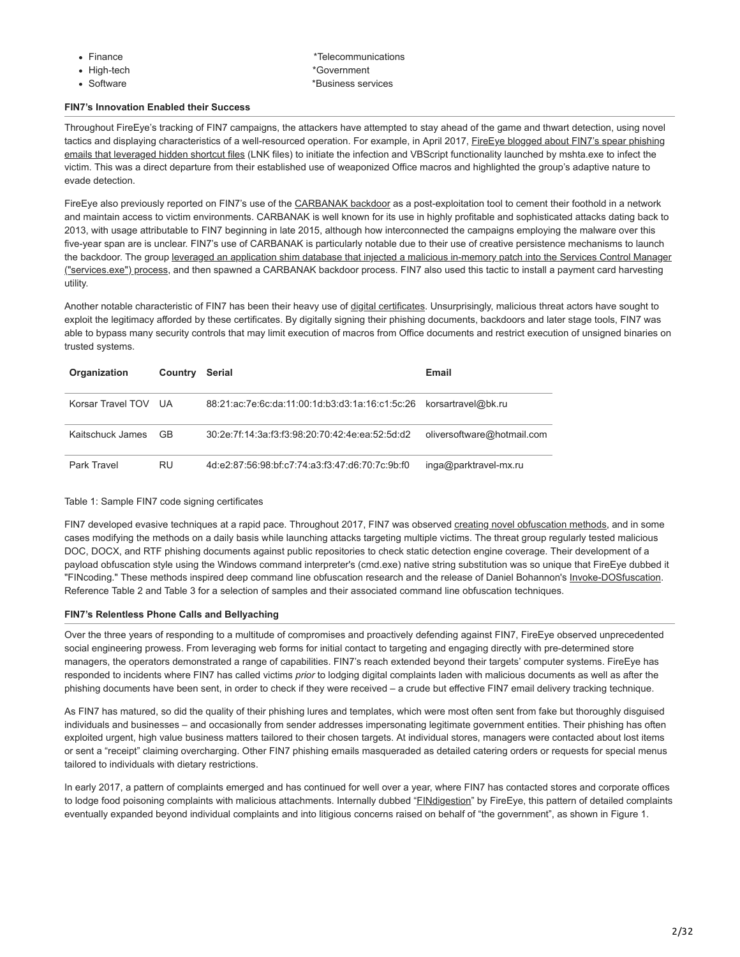| inance |
|--------|
|        |

- 
- 
- e the state of the state  $\sim$  \*Telecommunications • High-tech  $*G$ overnment • Software  $*$ Business services

# **FIN7's Innovation Enabled their Success**

Throughout FireEye's tracking of FIN7 campaigns, the attackers have attempted to stay ahead of the game and thwart detection, using novel [tactics and displaying characteristics of a well-resourced operation. For example, in April 2017, FireEye blogged about FIN7's spear phishing](https://www.fireeye.com/resources/fin7-phishing-lnk) emails that leveraged hidden shortcut files (LNK files) to initiate the infection and VBScript functionality launched by mshta.exe to infect the victim. This was a direct departure from their established use of weaponized Office macros and highlighted the group's adaptive nature to evade detection.

FireEye also previously reported on FIN7's use of the [CARBANAK backdoor](https://www.fireeye.com/resources/behind-the-carbanak-backdoor) as a post-exploitation tool to cement their foothold in a network and maintain access to victim environments. CARBANAK is well known for its use in highly profitable and sophisticated attacks dating back to 2013, with usage attributable to FIN7 beginning in late 2015, although how interconnected the campaigns employing the malware over this five-year span are is unclear. FIN7's use of CARBANAK is particularly notable due to their use of creative persistence mechanisms to launch [the backdoor. The group leveraged an application shim database that injected a malicious in-memory patch into the Services Control Manager](https://www.fireeye.com/resources/fin7-shim-databases-persistence) ("services.exe") process, and then spawned a CARBANAK backdoor process. FIN7 also used this tactic to install a payment card harvesting utility.

Another notable characteristic of FIN7 has been their heavy use of [digital certificates](https://pkic.org/uploads/2013/10/CASC-Code-Signing.pdf). Unsurprisingly, malicious threat actors have sought to exploit the legitimacy afforded by these certificates. By digitally signing their phishing documents, backdoors and later stage tools, FIN7 was able to bypass many security controls that may limit execution of macros from Office documents and restrict execution of unsigned binaries on trusted systems.

| Organization         | Country | Serial                                                             | Email                      |
|----------------------|---------|--------------------------------------------------------------------|----------------------------|
| Korsar Travel TOV UA |         | 88:21:ac:7e:6c:da:11:00:1d:b3:d3:1a:16:c1:5c:26 korsartravel@bk.ru |                            |
| Kaitschuck James     | GB.     | 30:2e:7f:14:3a:f3:f3:98:20:70:42:4e:ea:52:5d:d2                    | oliversoftware@hotmail.com |
| Park Travel          | RU      | 4d:e2:87:56:98:bf:c7:74:a3:f3:47:d6:70:7c:9b:f0                    | inga@parktravel-mx.ru      |

# Table 1: Sample FIN7 code signing certificates

FIN7 developed evasive techniques at a rapid pace. Throughout 2017, FIN7 was observed [creating novel obfuscation methods](https://www.fireeye.com/resources/obfuscation-wild-targeted-attackers-lead-way-evasion-techniques), and in some cases modifying the methods on a daily basis while launching attacks targeting multiple victims. The threat group regularly tested malicious DOC, DOCX, and RTF phishing documents against public repositories to check static detection engine coverage. Their development of a payload obfuscation style using the Windows command interpreter's (cmd.exe) native string substitution was so unique that FireEye dubbed it "FINcoding." These methods inspired deep command line obfuscation research and the release of Daniel Bohannon's [Invoke-DOSfuscation](https://github.com/danielbohannon/Invoke-DOSfuscation). Reference Table 2 and Table 3 for a selection of samples and their associated command line obfuscation techniques.

# **FIN7's Relentless Phone Calls and Bellyaching**

Over the three years of responding to a multitude of compromises and proactively defending against FIN7, FireEye observed unprecedented social engineering prowess. From leveraging web forms for initial contact to targeting and engaging directly with pre-determined store managers, the operators demonstrated a range of capabilities. FIN7's reach extended beyond their targets' computer systems. FireEye has responded to incidents where FIN7 has called victims *prior* to lodging digital complaints laden with malicious documents as well as after the phishing documents have been sent, in order to check if they were received – a crude but effective FIN7 email delivery tracking technique.

As FIN7 has matured, so did the quality of their phishing lures and templates, which were most often sent from fake but thoroughly disguised individuals and businesses – and occasionally from sender addresses impersonating legitimate government entities. Their phishing has often exploited urgent, high value business matters tailored to their chosen targets. At individual stores, managers were contacted about lost items or sent a "receipt" claiming overcharging. Other FIN7 phishing emails masqueraded as detailed catering orders or requests for special menus tailored to individuals with dietary restrictions.

In early 2017, a pattern of complaints emerged and has continued for well over a year, where FIN7 has contacted stores and corporate offices to lodge food poisoning complaints with malicious attachments. Internally dubbed "[FINdigestion"](https://twitter.com/search?q=%23FINdigestion) by FireEye, this pattern of detailed complaints eventually expanded beyond individual complaints and into litigious concerns raised on behalf of "the government", as shown in Figure 1.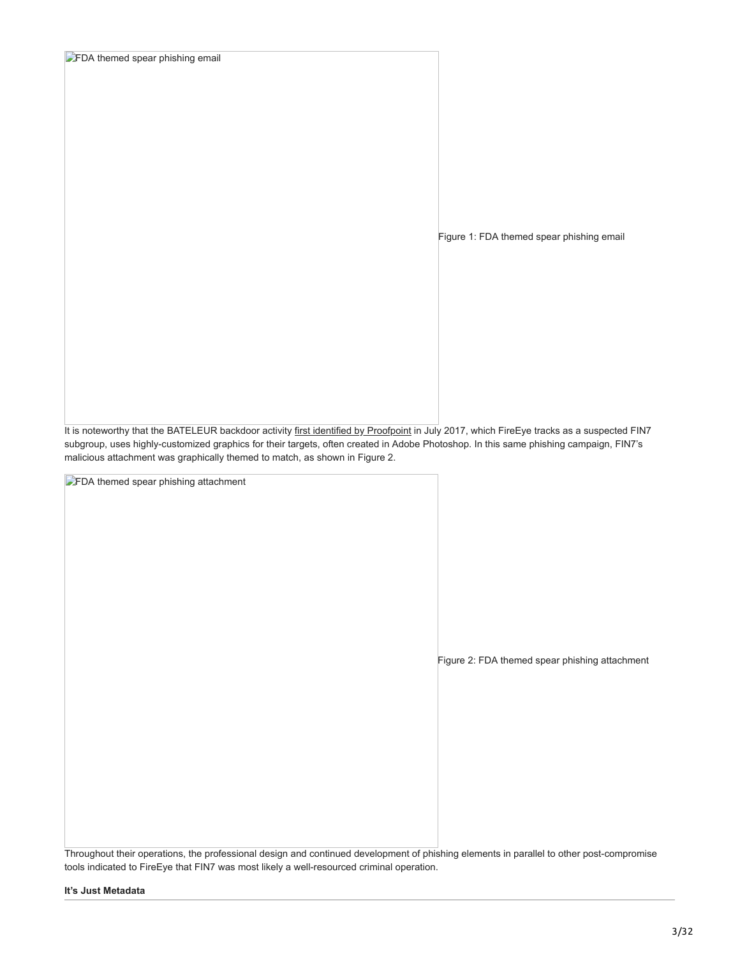| FDA themed spear phishing email |  |  |  |
|---------------------------------|--|--|--|
|---------------------------------|--|--|--|

Figure 1: FDA themed spear phishing email

It is noteworthy that the BATELEUR backdoor activity [first identified by Proofpoint](https://www.proofpoint.com/us/threat-insight/post/fin7carbanak-threat-actor-unleashes-bateleur-jscript-backdoor) in July 2017, which FireEye tracks as a suspected FIN7 subgroup, uses highly-customized graphics for their targets, often created in Adobe Photoshop. In this same phishing campaign, FIN7's malicious attachment was graphically themed to match, as shown in Figure 2.

**FDA** themed spear phishing attachment

Figure 2: FDA themed spear phishing attachment

Throughout their operations, the professional design and continued development of phishing elements in parallel to other post-compromise tools indicated to FireEye that FIN7 was most likely a well-resourced criminal operation.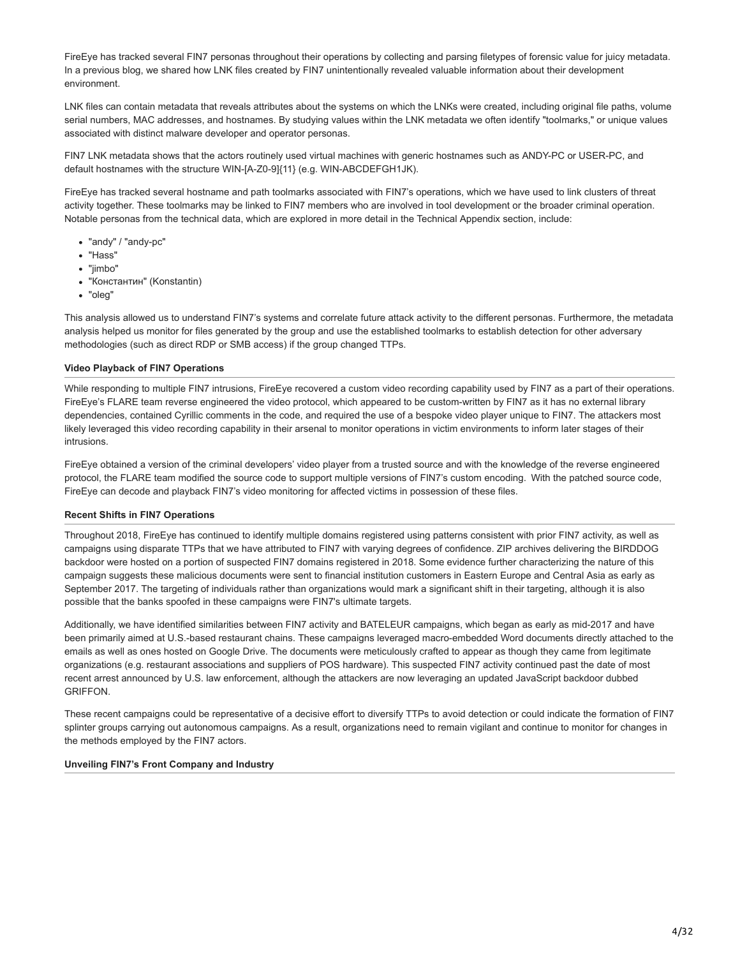FireEye has tracked several FIN7 personas throughout their operations by collecting and parsing filetypes of forensic value for juicy metadata. In a previous blog, we shared how LNK files created by FIN7 unintentionally revealed valuable information about their development environment.

LNK files can contain metadata that reveals attributes about the systems on which the LNKs were created, including original file paths, volume serial numbers, MAC addresses, and hostnames. By studying values within the LNK metadata we often identify "toolmarks," or unique values associated with distinct malware developer and operator personas.

FIN7 LNK metadata shows that the actors routinely used virtual machines with generic hostnames such as ANDY-PC or USER-PC, and default hostnames with the structure WIN-[A-Z0-9]{11} (e.g. WIN-ABCDEFGH1JK).

FireEye has tracked several hostname and path toolmarks associated with FIN7's operations, which we have used to link clusters of threat activity together. These toolmarks may be linked to FIN7 members who are involved in tool development or the broader criminal operation. Notable personas from the technical data, which are explored in more detail in the Technical Appendix section, include:

- "andy" / "andy-pc"
- "Hass"
- "jimbo"
- "Константин" (Konstantin)
- "oleg"

This analysis allowed us to understand FIN7's systems and correlate future attack activity to the different personas. Furthermore, the metadata analysis helped us monitor for files generated by the group and use the established toolmarks to establish detection for other adversary methodologies (such as direct RDP or SMB access) if the group changed TTPs.

# **Video Playback of FIN7 Operations**

While responding to multiple FIN7 intrusions, FireEye recovered a custom video recording capability used by FIN7 as a part of their operations. FireEye's FLARE team reverse engineered the video protocol, which appeared to be custom-written by FIN7 as it has no external library dependencies, contained Cyrillic comments in the code, and required the use of a bespoke video player unique to FIN7. The attackers most likely leveraged this video recording capability in their arsenal to monitor operations in victim environments to inform later stages of their intrusions.

FireEye obtained a version of the criminal developers' video player from a trusted source and with the knowledge of the reverse engineered protocol, the FLARE team modified the source code to support multiple versions of FIN7's custom encoding. With the patched source code, FireEye can decode and playback FIN7's video monitoring for affected victims in possession of these files.

# **Recent Shifts in FIN7 Operations**

Throughout 2018, FireEye has continued to identify multiple domains registered using patterns consistent with prior FIN7 activity, as well as campaigns using disparate TTPs that we have attributed to FIN7 with varying degrees of confidence. ZIP archives delivering the BIRDDOG backdoor were hosted on a portion of suspected FIN7 domains registered in 2018. Some evidence further characterizing the nature of this campaign suggests these malicious documents were sent to financial institution customers in Eastern Europe and Central Asia as early as September 2017. The targeting of individuals rather than organizations would mark a significant shift in their targeting, although it is also possible that the banks spoofed in these campaigns were FIN7's ultimate targets.

Additionally, we have identified similarities between FIN7 activity and BATELEUR campaigns, which began as early as mid-2017 and have been primarily aimed at U.S.-based restaurant chains. These campaigns leveraged macro-embedded Word documents directly attached to the emails as well as ones hosted on Google Drive. The documents were meticulously crafted to appear as though they came from legitimate organizations (e.g. restaurant associations and suppliers of POS hardware). This suspected FIN7 activity continued past the date of most recent arrest announced by U.S. law enforcement, although the attackers are now leveraging an updated JavaScript backdoor dubbed GRIFFON.

These recent campaigns could be representative of a decisive effort to diversify TTPs to avoid detection or could indicate the formation of FIN7 splinter groups carrying out autonomous campaigns. As a result, organizations need to remain vigilant and continue to monitor for changes in the methods employed by the FIN7 actors.

# **Unveiling FIN7's Front Company and Industry**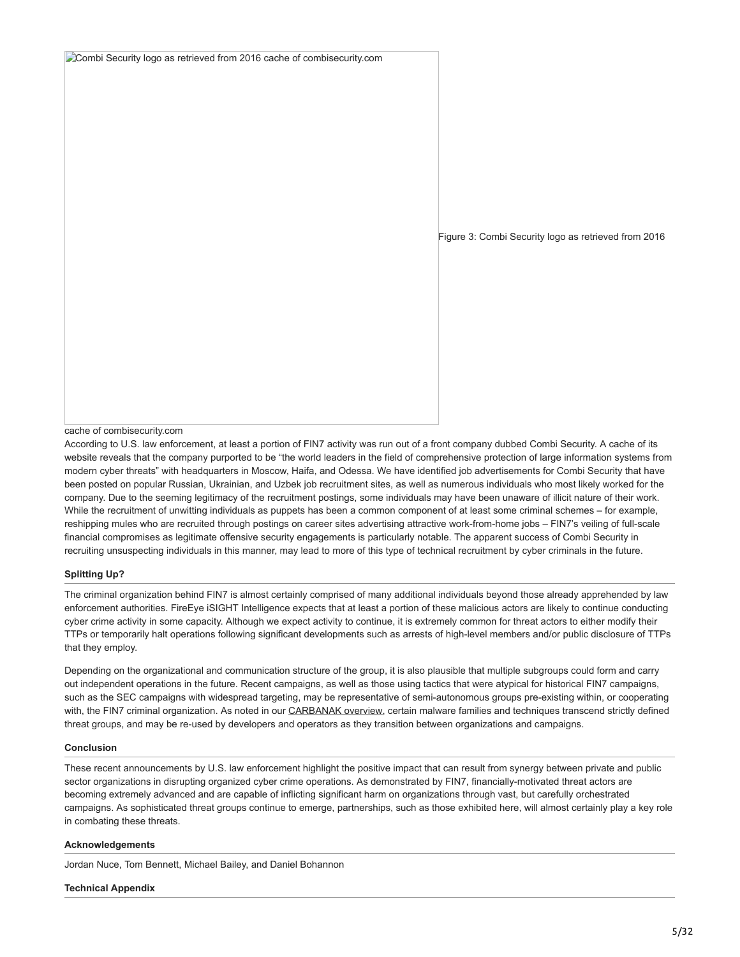Combi Security logo as retrieved from 2016 cache of combisecurity.com

Figure 3: Combi Security logo as retrieved from 2016

#### cache of combisecurity.com

According to U.S. law enforcement, at least a portion of FIN7 activity was run out of a front company dubbed Combi Security. A cache of its website reveals that the company purported to be "the world leaders in the field of comprehensive protection of large information systems from modern cyber threats" with headquarters in Moscow, Haifa, and Odessa. We have identified job advertisements for Combi Security that have been posted on popular Russian, Ukrainian, and Uzbek job recruitment sites, as well as numerous individuals who most likely worked for the company. Due to the seeming legitimacy of the recruitment postings, some individuals may have been unaware of illicit nature of their work. While the recruitment of unwitting individuals as puppets has been a common component of at least some criminal schemes – for example, reshipping mules who are recruited through postings on career sites advertising attractive work-from-home jobs – FIN7's veiling of full-scale financial compromises as legitimate offensive security engagements is particularly notable. The apparent success of Combi Security in recruiting unsuspecting individuals in this manner, may lead to more of this type of technical recruitment by cyber criminals in the future.

# **Splitting Up?**

The criminal organization behind FIN7 is almost certainly comprised of many additional individuals beyond those already apprehended by law enforcement authorities. FireEye iSIGHT Intelligence expects that at least a portion of these malicious actors are likely to continue conducting cyber crime activity in some capacity. Although we expect activity to continue, it is extremely common for threat actors to either modify their TTPs or temporarily halt operations following significant developments such as arrests of high-level members and/or public disclosure of TTPs that they employ.

Depending on the organizational and communication structure of the group, it is also plausible that multiple subgroups could form and carry out independent operations in the future. Recent campaigns, as well as those using tactics that were atypical for historical FIN7 campaigns, such as the SEC campaigns with widespread targeting, may be representative of semi-autonomous groups pre-existing within, or cooperating with, the FIN7 criminal organization. As noted in our [CARBANAK overview](https://www.fireeye.com/resources/behind-the-carbanak-backdoor), certain malware families and techniques transcend strictly defined threat groups, and may be re-used by developers and operators as they transition between organizations and campaigns.

# **Conclusion**

These recent announcements by U.S. law enforcement highlight the positive impact that can result from synergy between private and public sector organizations in disrupting organized cyber crime operations. As demonstrated by FIN7, financially-motivated threat actors are becoming extremely advanced and are capable of inflicting significant harm on organizations through vast, but carefully orchestrated campaigns. As sophisticated threat groups continue to emerge, partnerships, such as those exhibited here, will almost certainly play a key role in combating these threats.

#### **Acknowledgements**

Jordan Nuce, Tom Bennett, Michael Bailey, and Daniel Bohannon

#### **Technical Appendix**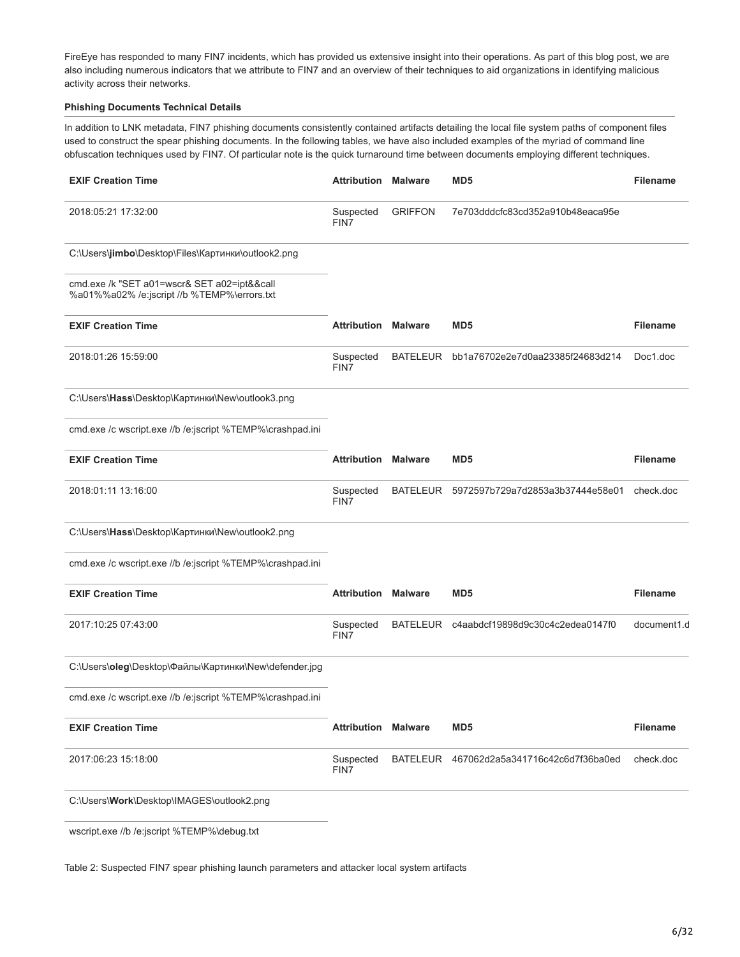FireEye has responded to many FIN7 incidents, which has provided us extensive insight into their operations. As part of this blog post, we are also including numerous indicators that we attribute to FIN7 and an overview of their techniques to aid organizations in identifying malicious activity across their networks.

# **Phishing Documents Technical Details**

In addition to LNK metadata, FIN7 phishing documents consistently contained artifacts detailing the local file system paths of component files used to construct the spear phishing documents. In the following tables, we have also included examples of the myriad of command line obfuscation techniques used by FIN7. Of particular note is the quick turnaround time between documents employing different techniques.

| <b>EXIF Creation Time</b>                                                                  | <b>Attribution Malware</b> |                 | MD5                              | <b>Filename</b> |
|--------------------------------------------------------------------------------------------|----------------------------|-----------------|----------------------------------|-----------------|
| 2018:05:21 17:32:00                                                                        | Suspected<br>FIN7          | <b>GRIFFON</b>  | 7e703dddcfc83cd352a910b48eaca95e |                 |
| C:\Users\jimbo\Desktop\Files\Картинки\outlook2.png                                         |                            |                 |                                  |                 |
| cmd.exe /k "SET a01=wscr& SET a02=ipt&&call<br>%a01%%a02% /e:jscript //b %TEMP%\errors.txt |                            |                 |                                  |                 |
| <b>EXIF Creation Time</b>                                                                  | <b>Attribution Malware</b> |                 | MD <sub>5</sub>                  | <b>Filename</b> |
| 2018:01:26 15:59:00                                                                        | Suspected<br>FIN7          | <b>BATELEUR</b> | bb1a76702e2e7d0aa23385f24683d214 | Doc1.doc        |
| C:\Users\Hass\Desktop\Картинки\New\outlook3.png                                            |                            |                 |                                  |                 |
| cmd.exe /c wscript.exe //b /e:jscript %TEMP%\crashpad.ini                                  |                            |                 |                                  |                 |
| <b>EXIF Creation Time</b>                                                                  | <b>Attribution Malware</b> |                 | MD <sub>5</sub>                  | <b>Filename</b> |
| 2018:01:11 13:16:00                                                                        | Suspected<br>FIN7          | <b>BATELEUR</b> | 5972597b729a7d2853a3b37444e58e01 | check.doc       |
| C:\Users\Hass\Desktop\Картинки\New\outlook2.png                                            |                            |                 |                                  |                 |
| cmd.exe /c wscript.exe //b /e:jscript %TEMP%\crashpad.ini                                  |                            |                 |                                  |                 |
| <b>EXIF Creation Time</b>                                                                  | Attribution                | <b>Malware</b>  | MD <sub>5</sub>                  | <b>Filename</b> |
| 2017:10:25 07:43:00                                                                        | Suspected<br>FIN7          | <b>BATELEUR</b> | c4aabdcf19898d9c30c4c2edea0147f0 | document1.d     |
| C:\Users\oleg\Desktop\Файлы\Картинки\New\defender.jpg                                      |                            |                 |                                  |                 |
| cmd.exe /c wscript.exe //b /e:jscript %TEMP%\crashpad.ini                                  |                            |                 |                                  |                 |
| <b>EXIF Creation Time</b>                                                                  | <b>Attribution Malware</b> |                 | MD <sub>5</sub>                  | <b>Filename</b> |
| 2017:06:23 15:18:00                                                                        | Suspected<br>FIN7          | <b>BATELEUR</b> | 467062d2a5a341716c42c6d7f36ba0ed | check.doc       |
| C:\Users\Work\Desktop\IMAGES\outlook2.pnq                                                  |                            |                 |                                  |                 |
| wscript.exe //b /e:jscript %TEMP%\debug.txt                                                |                            |                 |                                  |                 |

Table 2: Suspected FIN7 spear phishing launch parameters and attacker local system artifacts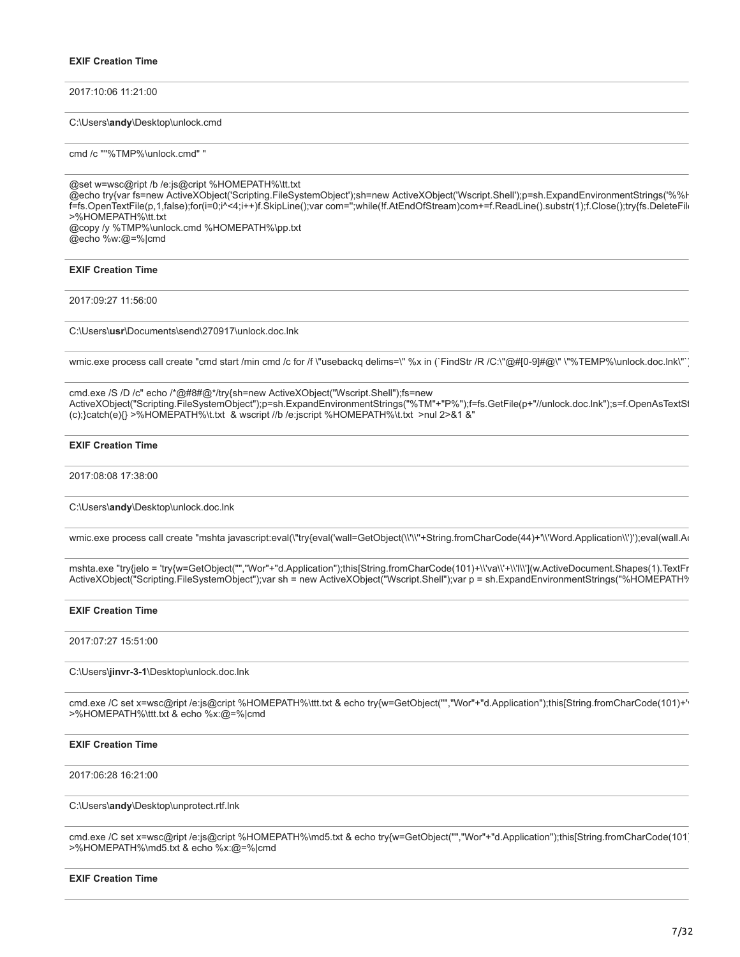2017:10:06 11:21:00

C:\Users\**andy**\Desktop\unlock.cmd

cmd /c ""%TMP%\unlock.cmd" "

@set w=wsc@ript /b /e:js@cript %HOMEPATH%\tt.txt @echo try{var fs=new ActiveXObject('Scripting.FileSystemObject');sh=new ActiveXObject('Wscript.Shell');p=sh.ExpandEnvironmentStrings('%%H f=fs.OpenTextFile(p,1,false);for(i=0;i^<4;i++)f.SkipLine();var com='';while(!f.AtEndOfStream)com+=f.ReadLine().substr(1);f.Close();try{fs.DeleteFile >%HOMEPATH%\tt.txt @copy /y %TMP%\unlock.cmd %HOMEPATH%\pp.txt @echo %w:@=%|cmd

# **EXIF Creation Time**

2017:09:27 11:56:00

C:\Users\**usr**\Documents\send\270917\unlock.doc.lnk

wmic.exe process call create "cmd start /min cmd /c for /f \"usebackq delims=\" %x in (`FindStr /R /C:\"@#[0-9]#@\" \"%TEMP%\unlock.doc.lnk\"`)

cmd.exe /S /D /c" echo /\*@#8#@\*/try{sh=new ActiveXObject("Wscript.Shell");fs=new ActiveXObject("Scripting.FileSystemObject");p=sh.ExpandEnvironmentStrings("%TM"+"P%");f=fs.GetFile(p+"//unlock.doc.lnk");s=f.OpenAsTextSt (c);}catch(e){} >%HOMEPATH%\t.txt & wscript //b /e:jscript %HOMEPATH%\t.txt >nul 2>&1 &"

# **EXIF Creation Time**

2017:08:08 17:38:00

C:\Users\**andy**\Desktop\unlock.doc.lnk

wmic.exe process call create "mshta javascript:eval(\"try{eval('wall=GetObject(\\'\\''+String.fromCharCode(44)+'\\'Word.Application\\')');eval(wall.Ac

mshta.exe "try{jelo = 'try{w=GetObject("","Wor"+"d.Application");this[String.fromCharCode(101)+\\'va\\'+\\'l\\'](w.ActiveDocument.Shapes(1).TextFr ActiveXObject("Scripting.FileSystemObject");var sh = new ActiveXObject("Wscript.Shell");var p = sh.ExpandEnvironmentStrings("%HOMEPATH%

### **EXIF Creation Time**

2017:07:27 15:51:00

C:\Users\**jinvr-3-1**\Desktop\unlock.doc.lnk

cmd.exe /C set x=wsc@ript /e:js@cript %HOMEPATH%\ttt.txt & echo try{w=GetObject("","Wor"+"d.Application");this[String.fromCharCode(101)+'v >%HOMEPATH%\ttt.txt & echo %x:@=%|cmd

# **EXIF Creation Time**

2017:06:28 16:21:00

#### C:\Users\**andy**\Desktop\unprotect.rtf.lnk

cmd.exe /C set x=wsc@ript /e:js@cript %HOMEPATH%\md5.txt & echo try{w=GetObject("","Wor"+"d.Application");this[String.fromCharCode(101) >%HOMEPATH%\md5.txt & echo %x:@=%|cmd

#### **EXIF Creation Time**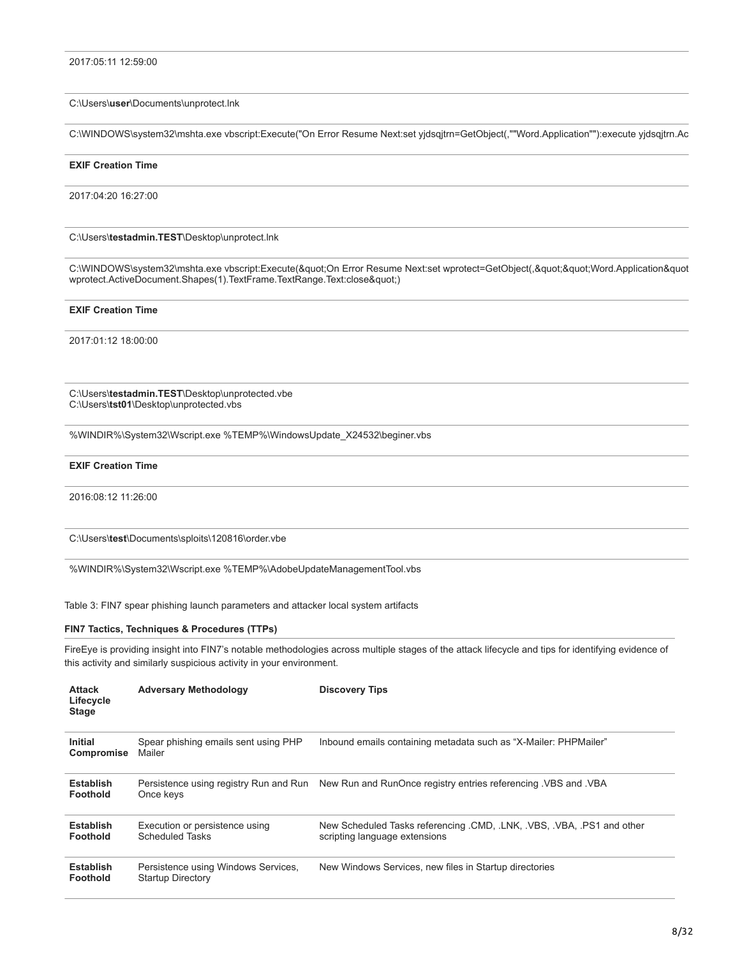#### C:\Users\**user**\Documents\unprotect.lnk

C:\WINDOWS\system32\mshta.exe vbscript:Execute("On Error Resume Next:set yjdsqjtrn=GetObject(,""Word.Application""):execute yjdsqjtrn.Ac

#### **EXIF Creation Time**

2017:04:20 16:27:00

C:\Users\**testadmin.TEST**\Desktop\unprotect.lnk

C:\WINDOWS\system32\mshta.exe vbscript:Execute("On Error Resume Next:set wprotect=GetObject(,""Word.Application&quot wprotect.ActiveDocument.Shapes(1).TextFrame.TextRange.Text:close")

# **EXIF Creation Time**

2017:01:12 18:00:00

C:\Users\**testadmin.TEST**\Desktop\unprotected.vbe C:\Users\**tst01**\Desktop\unprotected.vbs

%WINDIR%\System32\Wscript.exe %TEMP%\WindowsUpdate\_X24532\beginer.vbs

### **EXIF Creation Time**

2016:08:12 11:26:00

C:\Users\**test**\Documents\sploits\120816\order.vbe

%WINDIR%\System32\Wscript.exe %TEMP%\AdobeUpdateManagementTool.vbs

Table 3: FIN7 spear phishing launch parameters and attacker local system artifacts

### **FIN7 Tactics, Techniques & Procedures (TTPs)**

FireEye is providing insight into FIN7's notable methodologies across multiple stages of the attack lifecycle and tips for identifying evidence of this activity and similarly suspicious activity in your environment.

| <b>Attack</b><br>Lifecycle<br><b>Stage</b> | <b>Adversary Methodology</b>                                    | <b>Discovery Tips</b>                                                                               |
|--------------------------------------------|-----------------------------------------------------------------|-----------------------------------------------------------------------------------------------------|
| <b>Initial</b><br>Compromise               | Spear phishing emails sent using PHP<br>Mailer                  | Inbound emails containing metadata such as "X-Mailer: PHPMailer"                                    |
| <b>Establish</b><br><b>Foothold</b>        | Once keys                                                       | Persistence using registry Run and Run New Run and RunOnce registry entries referencing VBS and VBA |
| <b>Establish</b><br><b>Foothold</b>        | Execution or persistence using<br>Scheduled Tasks               | New Scheduled Tasks referencing CMD, LNK, VBS, VBA, PS1 and other<br>scripting language extensions  |
| <b>Establish</b><br><b>Foothold</b>        | Persistence using Windows Services,<br><b>Startup Directory</b> | New Windows Services, new files in Startup directories                                              |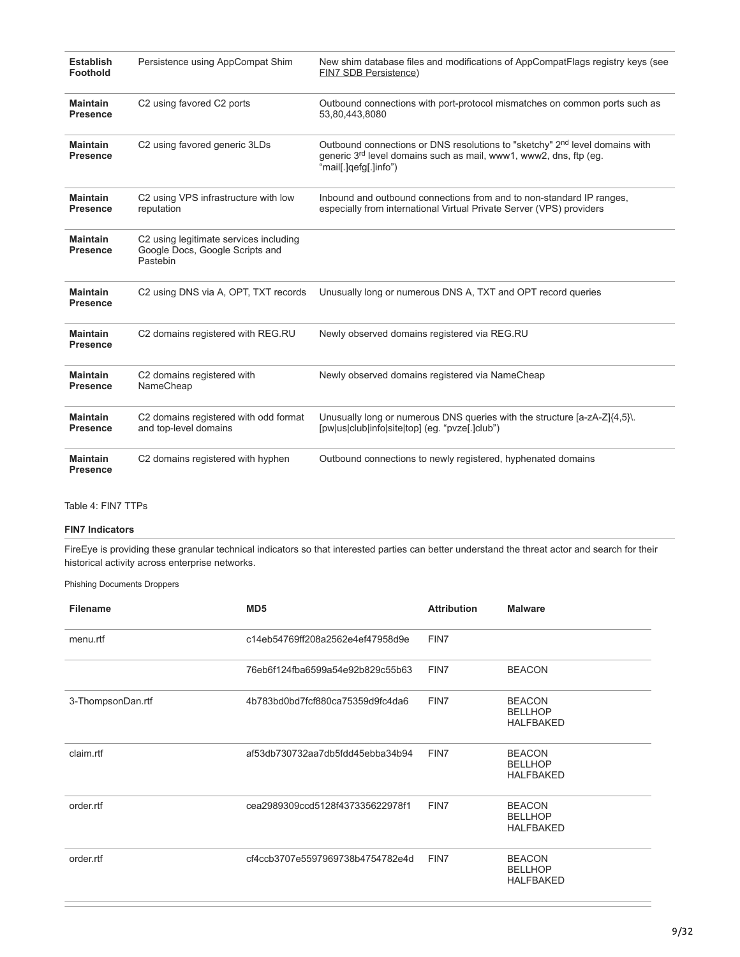| <b>Establish</b><br><b>Foothold</b> | Persistence using AppCompat Shim                                                      | New shim database files and modifications of AppCompatFlags registry keys (see<br>FIN7 SDB Persistence)                                                                                           |
|-------------------------------------|---------------------------------------------------------------------------------------|---------------------------------------------------------------------------------------------------------------------------------------------------------------------------------------------------|
| <b>Maintain</b><br><b>Presence</b>  | C2 using favored C2 ports                                                             | Outbound connections with port-protocol mismatches on common ports such as<br>53,80,443,8080                                                                                                      |
| <b>Maintain</b><br><b>Presence</b>  | C2 using favored generic 3LDs                                                         | Outbound connections or DNS resolutions to "sketchy" 2 <sup>nd</sup> level domains with<br>generic 3 <sup>rd</sup> level domains such as mail, www1, www2, dns, ftp (eg.<br>"mail[.]qefg[.]info") |
| <b>Maintain</b><br><b>Presence</b>  | C2 using VPS infrastructure with low<br>reputation                                    | Inbound and outbound connections from and to non-standard IP ranges,<br>especially from international Virtual Private Server (VPS) providers                                                      |
| <b>Maintain</b><br><b>Presence</b>  | C2 using legitimate services including<br>Google Docs, Google Scripts and<br>Pastebin |                                                                                                                                                                                                   |
| <b>Maintain</b><br><b>Presence</b>  | C2 using DNS via A, OPT, TXT records                                                  | Unusually long or numerous DNS A, TXT and OPT record queries                                                                                                                                      |
| <b>Maintain</b><br><b>Presence</b>  | C2 domains registered with REG.RU                                                     | Newly observed domains registered via REG.RU                                                                                                                                                      |
| <b>Maintain</b><br><b>Presence</b>  | C2 domains registered with<br>NameCheap                                               | Newly observed domains registered via NameCheap                                                                                                                                                   |
| <b>Maintain</b><br><b>Presence</b>  | C2 domains registered with odd format<br>and top-level domains                        | Unusually long or numerous DNS queries with the structure [a-zA-Z]{4,5}\.<br>[pw us club info site top] (eg. "pvze[.]club")                                                                       |
| <b>Maintain</b><br><b>Presence</b>  | C2 domains registered with hyphen                                                     | Outbound connections to newly registered, hyphenated domains                                                                                                                                      |

# Table 4: FIN7 TTPs

# **FIN7 Indicators**

FireEye is providing these granular technical indicators so that interested parties can better understand the threat actor and search for their historical activity across enterprise networks.

Phishing Documents Droppers

| <b>Filename</b>   | MD <sub>5</sub>                  | <b>Attribution</b> | <b>Malware</b>                                      |
|-------------------|----------------------------------|--------------------|-----------------------------------------------------|
| menu.rtf          | c14eb54769ff208a2562e4ef47958d9e | FIN7               |                                                     |
|                   | 76eb6f124fba6599a54e92b829c55b63 | FIN7               | <b>BEACON</b>                                       |
| 3-ThompsonDan.rtf | 4b783bd0bd7fcf880ca75359d9fc4da6 | FIN7               | <b>BEACON</b><br><b>BELLHOP</b><br><b>HALFBAKED</b> |
| claim.rtf         | af53db730732aa7db5fdd45ebba34b94 | FIN7               | <b>BEACON</b><br><b>BELLHOP</b><br><b>HALFBAKED</b> |
| order.rtf         | cea2989309ccd5128f437335622978f1 | FIN7               | <b>BEACON</b><br><b>BELLHOP</b><br><b>HALFBAKED</b> |
| order.rtf         | cf4ccb3707e5597969738b4754782e4d | FIN7               | <b>BEACON</b><br><b>BELLHOP</b><br><b>HALFBAKED</b> |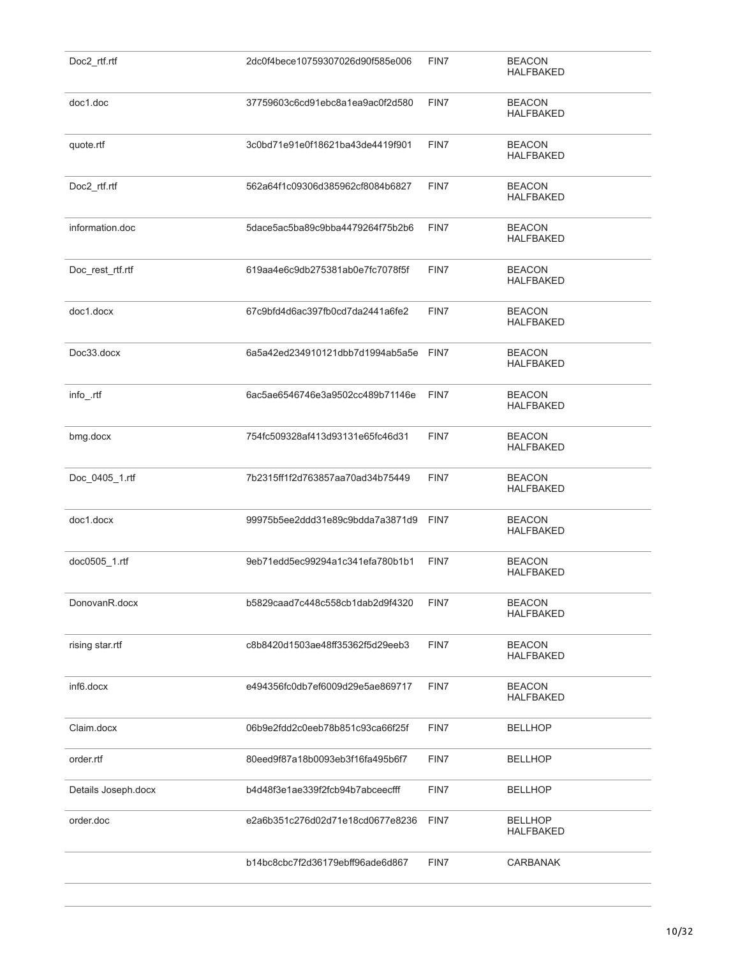| Doc2_rtf.rtf        | 2dc0f4bece10759307026d90f585e006      | FIN7 | <b>BEACON</b><br><b>HALFBAKED</b>  |
|---------------------|---------------------------------------|------|------------------------------------|
| doc1.doc            | 37759603c6cd91ebc8a1ea9ac0f2d580      | FIN7 | <b>BEACON</b><br><b>HALFBAKED</b>  |
| quote.rtf           | 3c0bd71e91e0f18621ba43de4419f901      | FIN7 | <b>BEACON</b><br><b>HALFBAKED</b>  |
| Doc2_rtf.rtf        | 562a64f1c09306d385962cf8084b6827      | FIN7 | <b>BEACON</b><br><b>HALFBAKED</b>  |
| information.doc     | 5dace5ac5ba89c9bba4479264f75b2b6      | FIN7 | <b>BEACON</b><br><b>HALFBAKED</b>  |
| Doc_rest_rtf.rtf    | 619aa4e6c9db275381ab0e7fc7078f5f      | FIN7 | <b>BEACON</b><br><b>HALFBAKED</b>  |
| doc1.docx           | 67c9bfd4d6ac397fb0cd7da2441a6fe2      | FIN7 | <b>BEACON</b><br><b>HALFBAKED</b>  |
| Doc33.docx          | 6a5a42ed234910121dbb7d1994ab5a5e FIN7 |      | <b>BEACON</b><br><b>HALFBAKED</b>  |
| info_rtf            | 6ac5ae6546746e3a9502cc489b71146e      | FIN7 | <b>BEACON</b><br><b>HALFBAKED</b>  |
| bmg.docx            | 754fc509328af413d93131e65fc46d31      | FIN7 | <b>BEACON</b><br><b>HALFBAKED</b>  |
| Doc_0405_1.rtf      | 7b2315ff1f2d763857aa70ad34b75449      | FIN7 | <b>BEACON</b><br><b>HALFBAKED</b>  |
| doc1.docx           | 99975b5ee2ddd31e89c9bdda7a3871d9 FIN7 |      | <b>BEACON</b><br><b>HALFBAKED</b>  |
| doc0505_1.rtf       | 9eb71edd5ec99294a1c341efa780b1b1      | FIN7 | <b>BEACON</b><br><b>HALFBAKED</b>  |
| DonovanR.docx       | b5829caad7c448c558cb1dab2d9f4320      | FIN7 | <b>BEACON</b><br><b>HALFBAKED</b>  |
| rising star.rtf     | c8b8420d1503ae48ff35362f5d29eeb3      | FIN7 | <b>BEACON</b><br><b>HALFBAKED</b>  |
| inf6.docx           | e494356fc0db7ef6009d29e5ae869717      | FIN7 | <b>BEACON</b><br><b>HALFBAKED</b>  |
| Claim.docx          | 06b9e2fdd2c0eeb78b851c93ca66f25f      | FIN7 | <b>BELLHOP</b>                     |
| order.rtf           | 80eed9f87a18b0093eb3f16fa495b6f7      | FIN7 | <b>BELLHOP</b>                     |
| Details Joseph.docx | b4d48f3e1ae339f2fcb94b7abceecfff      | FIN7 | <b>BELLHOP</b>                     |
| order.doc           | e2a6b351c276d02d71e18cd0677e8236      | FIN7 | <b>BELLHOP</b><br><b>HALFBAKED</b> |
|                     | b14bc8cbc7f2d36179ebff96ade6d867      | FIN7 | CARBANAK                           |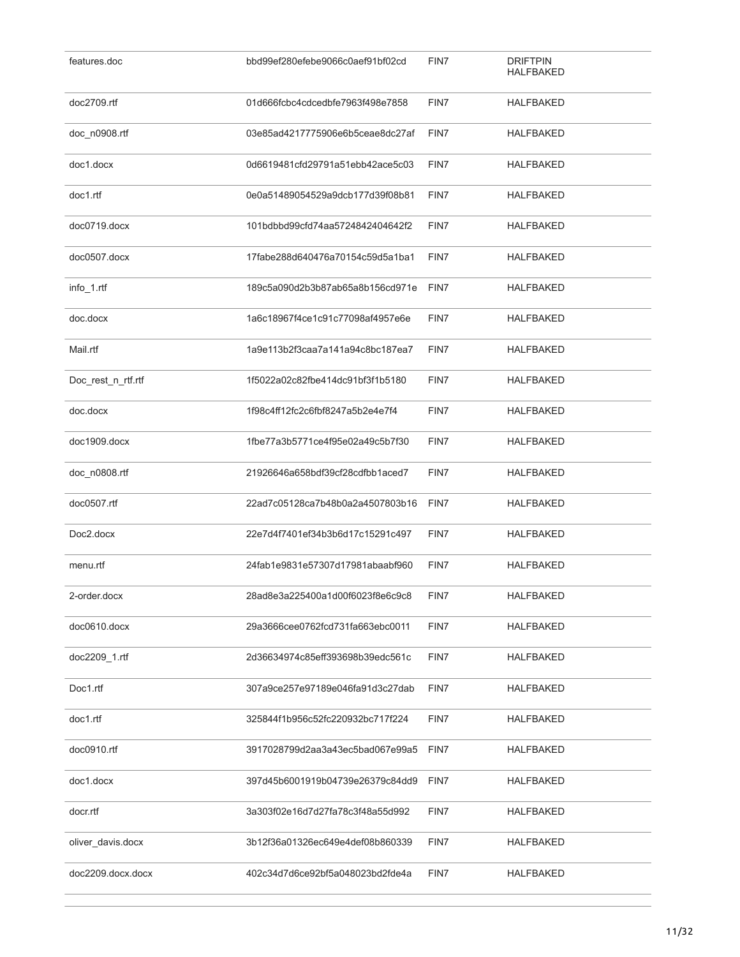| features.doc       | bbd99ef280efebe9066c0aef91bf02cd | FIN7 | <b>DRIFTPIN</b><br>HALFBAKED |
|--------------------|----------------------------------|------|------------------------------|
| doc2709.rtf        | 01d666fcbc4cdcedbfe7963f498e7858 | FIN7 | HALFBAKED                    |
| doc_n0908.rtf      | 03e85ad4217775906e6b5ceae8dc27af | FIN7 | HALFBAKED                    |
| doc1.docx          | 0d6619481cfd29791a51ebb42ace5c03 | FIN7 | <b>HALFBAKED</b>             |
| doc1.rtf           | 0e0a51489054529a9dcb177d39f08b81 | FIN7 | <b>HALFBAKED</b>             |
| doc0719.docx       | 101bdbbd99cfd74aa5724842404642f2 | FIN7 | HALFBAKED                    |
| doc0507.docx       | 17fabe288d640476a70154c59d5a1ba1 | FIN7 | HALFBAKED                    |
| info_1.rtf         | 189c5a090d2b3b87ab65a8b156cd971e | FIN7 | HALFBAKED                    |
| doc.docx           | 1a6c18967f4ce1c91c77098af4957e6e | FIN7 | HALFBAKED                    |
| Mail.rtf           | 1a9e113b2f3caa7a141a94c8bc187ea7 | FIN7 | HALFBAKED                    |
| Doc rest n rtf.rtf | 1f5022a02c82fbe414dc91bf3f1b5180 | FIN7 | HALFBAKED                    |
| doc.docx           | 1f98c4ff12fc2c6fbf8247a5b2e4e7f4 | FIN7 | <b>HALFBAKED</b>             |
| doc1909.docx       | 1fbe77a3b5771ce4f95e02a49c5b7f30 | FIN7 | <b>HALFBAKED</b>             |
| doc_n0808.rtf      | 21926646a658bdf39cf28cdfbb1aced7 | FIN7 | <b>HALFBAKED</b>             |
| doc0507.rtf        | 22ad7c05128ca7b48b0a2a4507803b16 | FIN7 | HALFBAKED                    |
| Doc2.docx          | 22e7d4f7401ef34b3b6d17c15291c497 | FIN7 | HALFBAKED                    |
| menu.rtf           | 24fab1e9831e57307d17981abaabf960 | FIN7 | <b>HALFBAKED</b>             |
| 2-order.docx       | 28ad8e3a225400a1d00f6023f8e6c9c8 | FIN7 | HALFBAKED                    |
| doc0610.docx       | 29a3666cee0762fcd731fa663ebc0011 | FIN7 | HALFBAKED                    |
| doc2209_1.rtf      | 2d36634974c85eff393698b39edc561c | FIN7 | HALFBAKED                    |
| Doc1.rtf           | 307a9ce257e97189e046fa91d3c27dab | FIN7 | HALFBAKED                    |
| doc1.rtf           | 325844f1b956c52fc220932bc717f224 | FIN7 | HALFBAKED                    |
| doc0910.rtf        | 3917028799d2aa3a43ec5bad067e99a5 | FIN7 | HALFBAKED                    |
| doc1.docx          | 397d45b6001919b04739e26379c84dd9 | FIN7 | HALFBAKED                    |
| docr.rtf           | 3a303f02e16d7d27fa78c3f48a55d992 | FIN7 | HALFBAKED                    |
| oliver_davis.docx  | 3b12f36a01326ec649e4def08b860339 | FIN7 | HALFBAKED                    |
| doc2209.docx.docx  | 402c34d7d6ce92bf5a048023bd2fde4a | FIN7 | HALFBAKED                    |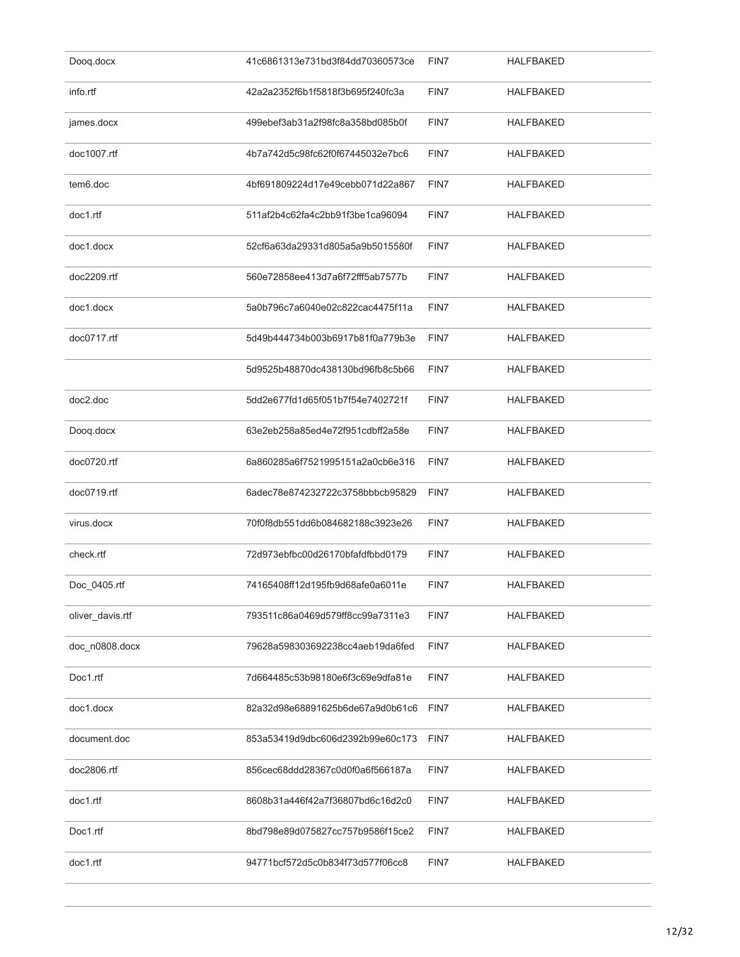| Doog.docx        | 41c6861313e731bd3f84dd70360573ce | FIN7 | <b>HALFBAKED</b> |
|------------------|----------------------------------|------|------------------|
| info.rtf         | 42a2a2352f6b1f5818f3b695f240fc3a | FIN7 | <b>HALFBAKED</b> |
| james.docx       | 499ebef3ab31a2f98fc8a358bd085b0f | FIN7 | <b>HALFBAKED</b> |
| doc1007.rtf      | 4b7a742d5c98fc62f0f67445032e7bc6 | FIN7 | <b>HALFBAKED</b> |
| tem6.doc         | 4bf691809224d17e49cebb071d22a867 | FIN7 | HALFBAKED        |
| doc1.rtf         | 511af2b4c62fa4c2bb91f3be1ca96094 | FIN7 | <b>HALFBAKED</b> |
| doc1.docx        | 52cf6a63da29331d805a5a9b5015580f | FIN7 | <b>HALFBAKED</b> |
| doc2209.rtf      | 560e72858ee413d7a6f72fff5ab7577b | FIN7 | <b>HALFBAKED</b> |
| doc1.docx        | 5a0b796c7a6040e02c822cac4475f11a | FIN7 | <b>HALFBAKED</b> |
| doc0717.rtf      | 5d49b444734b003b6917b81f0a779b3e | FIN7 | <b>HALFBAKED</b> |
|                  | 5d9525b48870dc438130bd96fb8c5b66 | FIN7 | <b>HALFBAKED</b> |
| doc2.doc         | 5dd2e677fd1d65f051b7f54e7402721f | FIN7 | HALFBAKED        |
| Doog.docx        | 63e2eb258a85ed4e72f951cdbff2a58e | FIN7 | <b>HALFBAKED</b> |
| doc0720.rtf      | 6a860285a6f7521995151a2a0cb6e316 | FIN7 | <b>HALFBAKED</b> |
| doc0719.rtf      | 6adec78e874232722c3758bbbcb95829 | FIN7 | <b>HALFBAKED</b> |
| virus.docx       | 70f0f8db551dd6b084682188c3923e26 | FIN7 | <b>HALFBAKED</b> |
| check.rtf        | 72d973ebfbc00d26170bfafdfbbd0179 | FIN7 | <b>HALFBAKED</b> |
| Doc_0405.rtf     | 74165408ff12d195fb9d68afe0a6011e | FIN7 | HALFBAKED        |
| oliver_davis.rtf | 793511c86a0469d579ff8cc99a7311e3 | FIN7 | HALFBAKED        |
| doc n0808.docx   | 79628a598303692238cc4aeb19da6fed | FIN7 | HALFBAKED        |
| Doc1.rtf         | 7d664485c53b98180e6f3c69e9dfa81e | FIN7 | HALFBAKED        |
| doc1.docx        | 82a32d98e68891625b6de67a9d0b61c6 | FIN7 | HALFBAKED        |
| document.doc     | 853a53419d9dbc606d2392b99e60c173 | FIN7 | <b>HALFBAKED</b> |
| doc2806.rtf      | 856cec68ddd28367c0d0f0a6f566187a | FIN7 | HALFBAKED        |
| doc1.rtf         | 8608b31a446f42a7f36807bd6c16d2c0 | FIN7 | HALFBAKED        |
| Doc1.rtf         | 8bd798e89d075827cc757b9586f15ce2 | FIN7 | <b>HALFBAKED</b> |
| doc1.rtf         | 94771bcf572d5c0b834f73d577f06cc8 | FIN7 | <b>HALFBAKED</b> |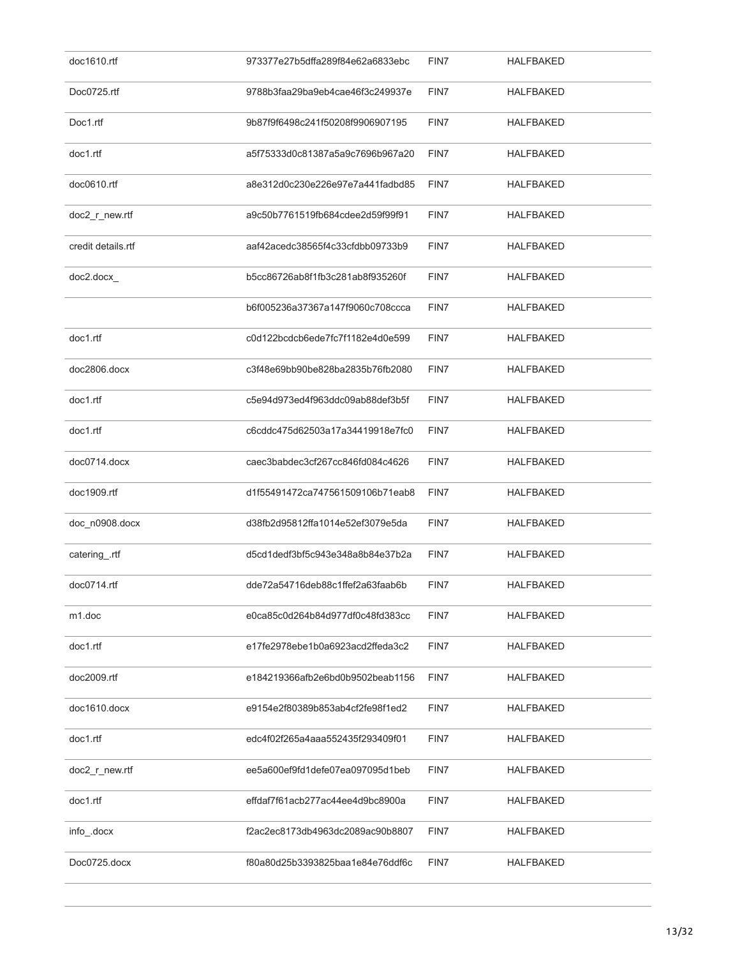| doc1610.rtf         | 973377e27b5dffa289f84e62a6833ebc | FIN7 | HALFBAKED        |
|---------------------|----------------------------------|------|------------------|
| Doc0725.rtf         | 9788b3faa29ba9eb4cae46f3c249937e | FIN7 | <b>HALFBAKED</b> |
| Doc1.rtf            | 9b87f9f6498c241f50208f9906907195 | FIN7 | <b>HALFBAKED</b> |
| doc1.rtf            | a5f75333d0c81387a5a9c7696b967a20 | FIN7 | HALFBAKED        |
| doc0610.rtf         | a8e312d0c230e226e97e7a441fadbd85 | FIN7 | HALFBAKED        |
| doc2_r_new.rtf      | a9c50b7761519fb684cdee2d59f99f91 | FIN7 | HALFBAKED        |
| credit details.rtf  | aaf42acedc38565f4c33cfdbb09733b9 | FIN7 | HALFBAKED        |
| doc2.docx           | b5cc86726ab8f1fb3c281ab8f935260f | FIN7 | <b>HALFBAKED</b> |
|                     | b6f005236a37367a147f9060c708ccca | FIN7 | <b>HALFBAKED</b> |
| doc1.rtf            | c0d122bcdcb6ede7fc7f1182e4d0e599 | FIN7 | <b>HALFBAKED</b> |
| doc2806.docx        | c3f48e69bb90be828ba2835b76fb2080 | FIN7 | <b>HALFBAKED</b> |
| doc1.rtf            | c5e94d973ed4f963ddc09ab88def3b5f | FIN7 | HALFBAKED        |
| doc1.rtf            | c6cddc475d62503a17a34419918e7fc0 | FIN7 | HALFBAKED        |
| doc0714.docx        | caec3babdec3cf267cc846fd084c4626 | FIN7 | <b>HALFBAKED</b> |
| doc1909.rtf         | d1f55491472ca747561509106b71eab8 | FIN7 | <b>HALFBAKED</b> |
| doc_n0908.docx      | d38fb2d95812ffa1014e52ef3079e5da | FIN7 | HALFBAKED        |
| catering_.rtf       | d5cd1dedf3bf5c943e348a8b84e37b2a | FIN7 | <b>HALFBAKED</b> |
| doc0714.rtf         | dde72a54716deb88c1ffef2a63faab6b | FIN7 | HALFBAKED        |
| m <sub>1</sub> .doc | e0ca85c0d264b84d977df0c48fd383cc | FIN7 | HALFBAKED        |
| doc1.rtf            | e17fe2978ebe1b0a6923acd2ffeda3c2 | FIN7 | HALFBAKED        |
| doc2009.rtf         | e184219366afb2e6bd0b9502beab1156 | FIN7 | HALFBAKED        |
| doc1610.docx        | e9154e2f80389b853ab4cf2fe98f1ed2 | FIN7 | HALFBAKED        |
| doc1.rtf            | edc4f02f265a4aaa552435f293409f01 | FIN7 | HALFBAKED        |
| doc2_r_new.rtf      | ee5a600ef9fd1defe07ea097095d1beb | FIN7 | HALFBAKED        |
| doc1.rtf            | effdaf7f61acb277ac44ee4d9bc8900a | FIN7 | HALFBAKED        |
| info_.docx          | f2ac2ec8173db4963dc2089ac90b8807 | FIN7 | HALFBAKED        |
| Doc0725.docx        | f80a80d25b3393825baa1e84e76ddf6c | FIN7 | HALFBAKED        |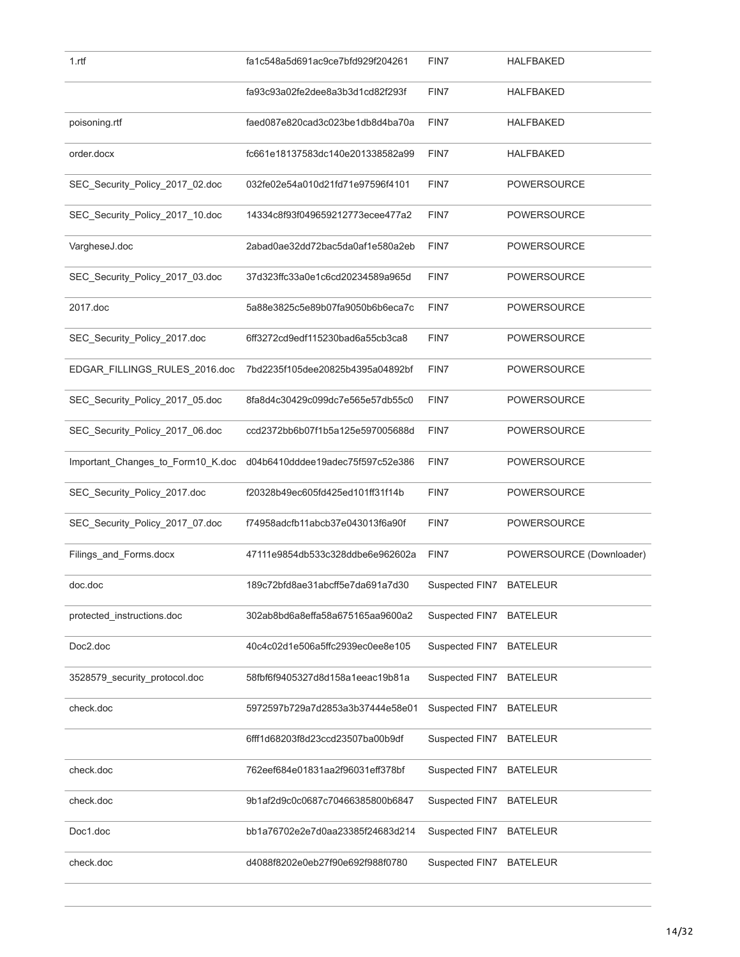| 1.rff                             | fa1c548a5d691ac9ce7bfd929f204261 | FIN7           | <b>HALFBAKED</b>         |
|-----------------------------------|----------------------------------|----------------|--------------------------|
|                                   | fa93c93a02fe2dee8a3b3d1cd82f293f | FIN7           | <b>HALFBAKED</b>         |
| poisoning.rtf                     | faed087e820cad3c023be1db8d4ba70a | FIN7           | <b>HALFBAKED</b>         |
| order.docx                        | fc661e18137583dc140e201338582a99 | FIN7           | <b>HALFBAKED</b>         |
| SEC_Security_Policy_2017_02.doc   | 032fe02e54a010d21fd71e97596f4101 | FIN7           | POWERSOURCE              |
| SEC_Security_Policy_2017_10.doc   | 14334c8f93f049659212773ecee477a2 | FIN7           | POWERSOURCE              |
| VargheseJ.doc                     | 2abad0ae32dd72bac5da0af1e580a2eb | FIN7           | POWERSOURCE              |
| SEC_Security_Policy_2017_03.doc   | 37d323ffc33a0e1c6cd20234589a965d | FIN7           | <b>POWERSOURCE</b>       |
| 2017.doc                          | 5a88e3825c5e89b07fa9050b6b6eca7c | FIN7           | <b>POWERSOURCE</b>       |
| SEC_Security_Policy_2017.doc      | 6ff3272cd9edf115230bad6a55cb3ca8 | FIN7           | <b>POWERSOURCE</b>       |
| EDGAR_FILLINGS_RULES_2016.doc     | 7bd2235f105dee20825b4395a04892bf | FIN7           | <b>POWERSOURCE</b>       |
| SEC_Security_Policy_2017_05.doc   | 8fa8d4c30429c099dc7e565e57db55c0 | FIN7           | <b>POWERSOURCE</b>       |
| SEC_Security_Policy_2017_06.doc   | ccd2372bb6b07f1b5a125e597005688d | FIN7           | POWERSOURCE              |
| Important_Changes_to_Form10_K.doc | d04b6410dddee19adec75f597c52e386 | FIN7           | POWERSOURCE              |
| SEC_Security_Policy_2017.doc      | f20328b49ec605fd425ed101ff31f14b | FIN7           | POWERSOURCE              |
| SEC_Security_Policy_2017_07.doc   | f74958adcfb11abcb37e043013f6a90f | FIN7           | <b>POWERSOURCE</b>       |
| Filings_and_Forms.docx            | 47111e9854db533c328ddbe6e962602a | FIN7           | POWERSOURCE (Downloader) |
| doc.doc                           | 189c72bfd8ae31abcff5e7da691a7d30 | Suspected FIN7 | <b>BATELEUR</b>          |
| protected instructions.doc        | 302ab8bd6a8effa58a675165aa9600a2 | Suspected FIN7 | <b>BATELEUR</b>          |
| Doc2.doc                          | 40c4c02d1e506a5ffc2939ec0ee8e105 | Suspected FIN7 | <b>BATELEUR</b>          |
| 3528579_security_protocol.doc     | 58fbf6f9405327d8d158a1eeac19b81a | Suspected FIN7 | <b>BATELEUR</b>          |
| check.doc                         | 5972597b729a7d2853a3b37444e58e01 | Suspected FIN7 | <b>BATELEUR</b>          |
|                                   | 6fff1d68203f8d23ccd23507ba00b9df | Suspected FIN7 | <b>BATELEUR</b>          |
| check.doc                         | 762eef684e01831aa2f96031eff378bf | Suspected FIN7 | <b>BATELEUR</b>          |
| check.doc                         | 9b1af2d9c0c0687c70466385800b6847 | Suspected FIN7 | <b>BATELEUR</b>          |
| Doc1.doc                          | bb1a76702e2e7d0aa23385f24683d214 | Suspected FIN7 | <b>BATELEUR</b>          |
| check.doc                         | d4088f8202e0eb27f90e692f988f0780 | Suspected FIN7 | <b>BATELEUR</b>          |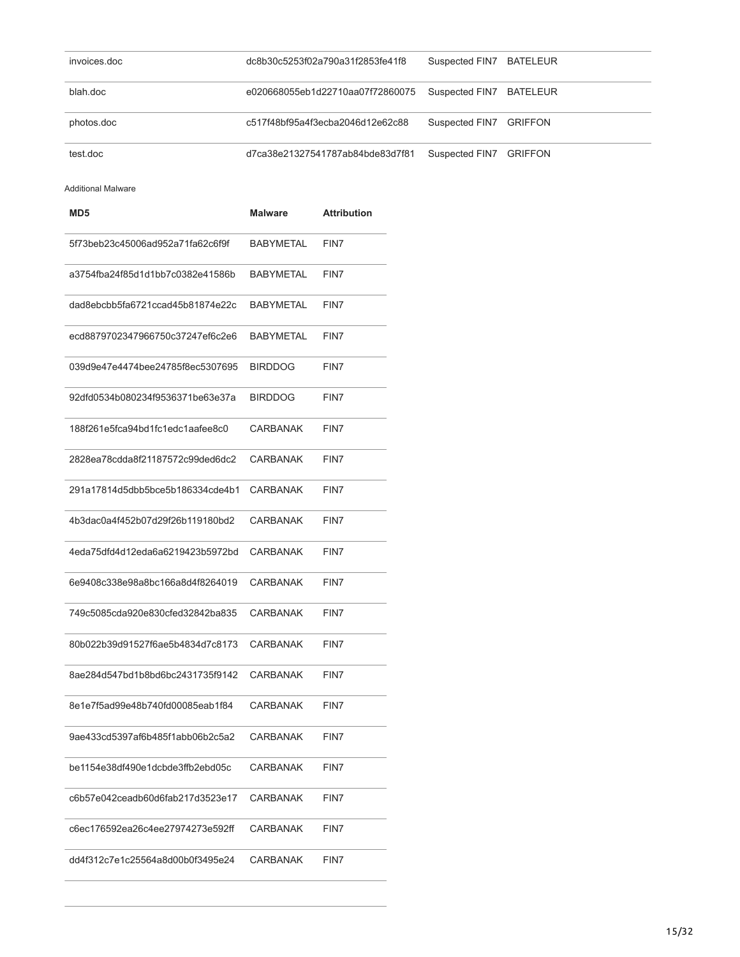| invoices.doc | dc8b30c5253f02a790a31f2853fe41f8 | Suspected FIN7 BATELEUR |  |
|--------------|----------------------------------|-------------------------|--|
| blah.doc     | e020668055eb1d22710aa07f72860075 | Suspected FIN7 BATELEUR |  |
| photos.doc   | c517f48bf95a4f3ecba2046d12e62c88 | Suspected FIN7 GRIFFON  |  |
| test.doc     | d7ca38e21327541787ab84bde83d7f81 | Suspected FIN7 GRIFFON  |  |

Additional Malware

| MD <sub>5</sub>                  | Malware          | <b>Attribution</b> |
|----------------------------------|------------------|--------------------|
| 5f73beb23c45006ad952a71fa62c6f9f | <b>BABYMETAL</b> | FIN7               |
| a3754fba24f85d1d1bb7c0382e41586b | <b>BABYMETAL</b> | FIN7               |
| dad8ebcbb5fa6721ccad45b81874e22c | <b>BABYMETAL</b> | FIN7               |
| ecd8879702347966750c37247ef6c2e6 | <b>BABYMETAL</b> | FIN7               |
| 039d9e47e4474bee24785f8ec5307695 | <b>BIRDDOG</b>   | FIN7               |
| 92dfd0534b080234f9536371be63e37a | <b>BIRDDOG</b>   | FIN7               |
| 188f261e5fca94bd1fc1edc1aafee8c0 | CARBANAK         | FIN7               |
| 2828ea78cdda8f21187572c99ded6dc2 | CARBANAK         | FIN7               |
| 291a17814d5dbb5bce5b186334cde4b1 | CARBANAK         | FIN7               |
| 4b3dac0a4f452b07d29f26b119180bd2 | CARBANAK         | FIN7               |
| 4eda75dfd4d12eda6a6219423b5972bd | CARBANAK         | FIN7               |
| 6e9408c338e98a8bc166a8d4f8264019 | CARBANAK         | FIN7               |
| 749c5085cda920e830cfed32842ba835 | CARBANAK         | FIN7               |
| 80b022b39d91527f6ae5b4834d7c8173 | CARBANAK         | FIN7               |
| 8ae284d547bd1b8bd6bc2431735f9142 | CARBANAK         | FIN7               |
| 8e1e7f5ad99e48b740fd00085eab1f84 | CARBANAK         | FIN7               |
| 9ae433cd5397af6b485f1abb06b2c5a2 | <b>CARBANAK</b>  | FIN7               |
| be1154e38df490e1dcbde3ffb2ebd05c | CARBANAK         | FIN7               |
| c6b57e042ceadb60d6fab217d3523e17 | CARBANAK         | FIN7               |
| c6ec176592ea26c4ee27974273e592ff | CARBANAK         | FIN7               |
| dd4f312c7e1c25564a8d00b0f3495e24 | CARBANAK         | FIN7               |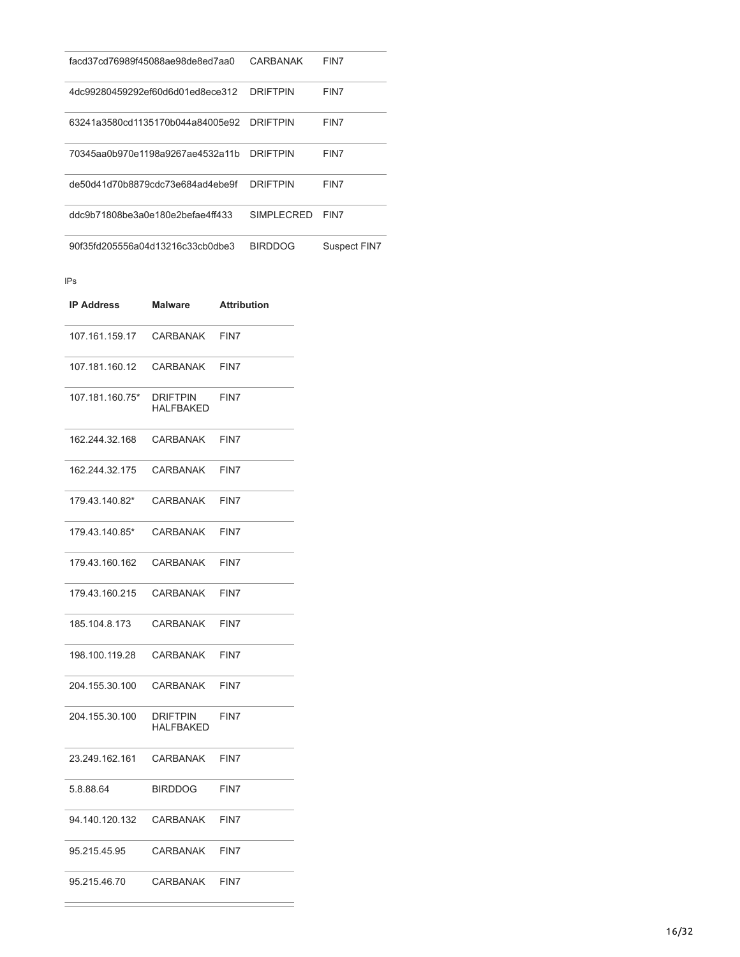| facd37cd76989f45088ae98de8ed7aa0 | CARBANAK        | FIN7         |
|----------------------------------|-----------------|--------------|
| 4dc99280459292ef60d6d01ed8ece312 | <b>DRIFTPIN</b> | FIN7         |
| 63241a3580cd1135170b044a84005e92 | <b>DRIFTPIN</b> | FIN7         |
| 70345aa0b970e1198a9267ae4532a11b | <b>DRIFTPIN</b> | FIN7         |
| de50d41d70b8879cdc73e684ad4ebe9f | <b>DRIFTPIN</b> | FIN7         |
| ddc9b71808be3a0e180e2befae4ff433 | SIMPLECRED      | FIN7         |
| 90f35fd205556a04d13216c33cb0dbe3 | <b>BIRDDOG</b>  | Suspect FIN7 |

IPs

| <b>IP Address</b> | <b>Malware</b>                      | <b>Attribution</b> |
|-------------------|-------------------------------------|--------------------|
| 107.161.159.17    | CARBANAK                            | FIN7               |
| 107.181.160.12    | CARBANAK                            | FIN7               |
| 107.181.160.75*   | <b>DRIFTPIN</b><br><b>HALFBAKED</b> | FIN7               |
| 162.244.32.168    | CARBANAK                            | FIN7               |
| 162.244.32.175    | CARBANAK                            | FIN7               |
| 179.43.140.82*    | CARBANAK                            | FIN7               |
| 179.43.140.85*    | CARBANAK                            | FIN7               |
| 179.43.160.162    | CARBANAK                            | FIN7               |
| 179.43.160.215    | CARBANAK                            | FIN7               |
| 185.104.8.173     | CARBANAK                            | FIN7               |
| 198.100.119.28    | CARBANAK                            | FIN7               |
| 204.155.30.100    | CARBANAK                            | FIN7               |
| 204.155.30.100    | DRIFTPIN<br><b>HALFBAKED</b>        | FIN7               |
| 23.249.162.161    | CARBANAK                            | FIN7               |
| 5.8.88.64         | <b>BIRDDOG</b>                      | FIN7               |
| 94.140.120.132    | <b>CARBANAK</b>                     | FIN7               |
| 95.215.45.95      | CARBANAK                            | FIN7               |
| 95.215.46.70      | CARBANAK                            | FIN7               |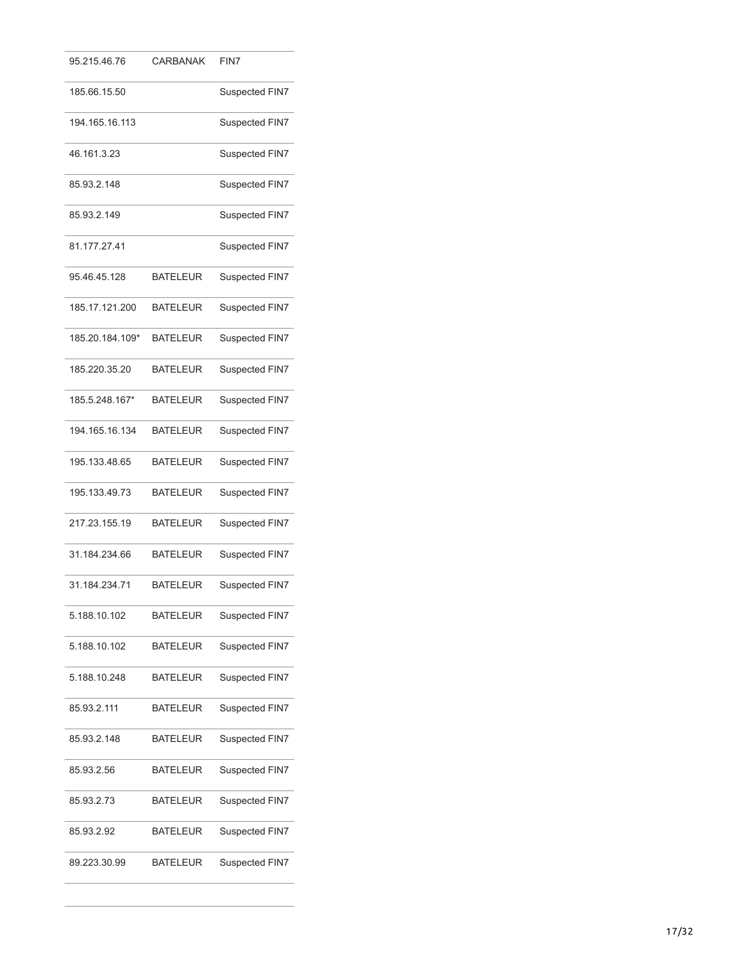| 95.215.46.76    | <b>CARBANAK</b> | FIN7           |
|-----------------|-----------------|----------------|
| 185.66.15.50    |                 | Suspected FIN7 |
| 194.165.16.113  |                 | Suspected FIN7 |
| 46.161.3.23     |                 | Suspected FIN7 |
| 85.93.2.148     |                 | Suspected FIN7 |
| 85.93.2.149     |                 | Suspected FIN7 |
| 81.177.27.41    |                 | Suspected FIN7 |
| 95.46.45.128    | <b>BATELEUR</b> | Suspected FIN7 |
| 185.17.121.200  | <b>BATELEUR</b> | Suspected FIN7 |
| 185.20.184.109* | <b>BATELEUR</b> | Suspected FIN7 |
| 185.220.35.20   | <b>BATELEUR</b> | Suspected FIN7 |
| 185.5.248.167*  | <b>BATELEUR</b> | Suspected FIN7 |
| 194.165.16.134  | <b>BATELEUR</b> | Suspected FIN7 |
| 195.133.48.65   | <b>BATELEUR</b> | Suspected FIN7 |
| 195.133.49.73   | <b>BATELEUR</b> | Suspected FIN7 |
| 217.23.155.19   | <b>BATELEUR</b> | Suspected FIN7 |
| 31.184.234.66   | <b>BATELEUR</b> | Suspected FIN7 |
| 31.184.234.71   | <b>BATELEUR</b> | Suspected FIN7 |
| 5.188.10.102    | <b>BATELEUR</b> | Suspected FIN7 |
| 5.188.10.102    | <b>BATELEUR</b> | Suspected FIN7 |
| 5.188.10.248    | <b>BATELEUR</b> | Suspected FIN7 |
| 85.93.2.111     | <b>BATELEUR</b> | Suspected FIN7 |
| 85.93.2.148     | <b>BATELEUR</b> | Suspected FIN7 |
| 85.93.2.56      | <b>BATELEUR</b> | Suspected FIN7 |
| 85.93.2.73      | <b>BATELEUR</b> | Suspected FIN7 |
| 85.93.2.92      | <b>BATELEUR</b> | Suspected FIN7 |
| 89.223.30.99    | <b>BATELEUR</b> | Suspected FIN7 |
|                 |                 |                |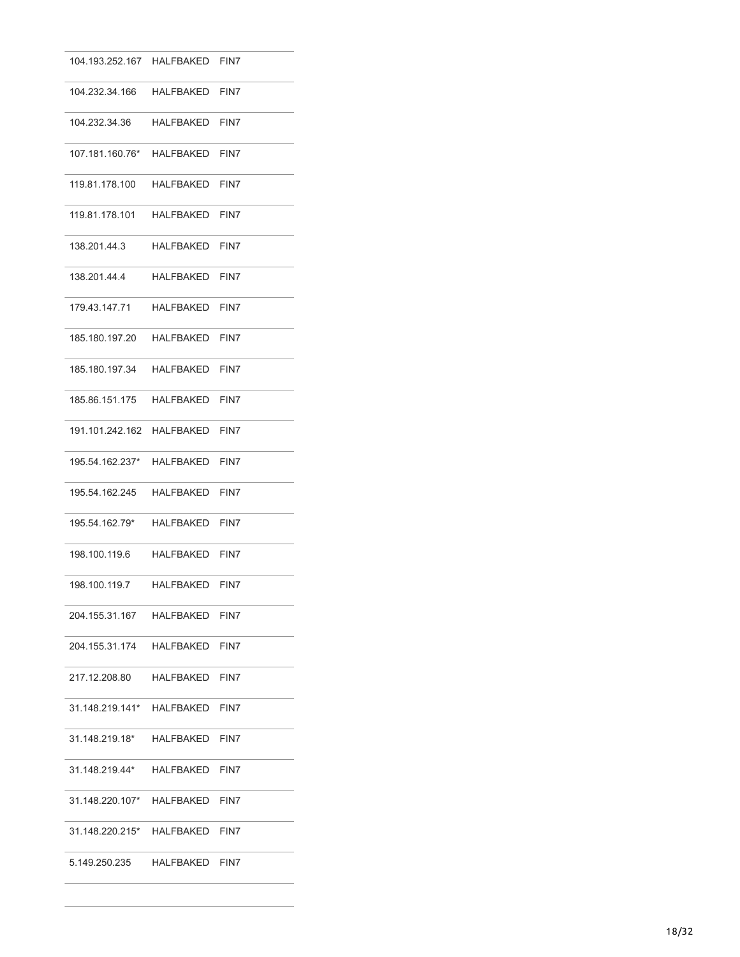| 104.193.252.167 HALFBAKED FIN7      |                |      |
|-------------------------------------|----------------|------|
|                                     |                |      |
| 104.232.34.36                       | HALFBAKED FIN7 |      |
| 107.181.160.76* HALFBAKED FIN7      |                |      |
| 119.81.178.100 HALFBAKED FIN7       |                |      |
| 119.81.178.101    HALFBAKED    FIN7 |                |      |
| 138.201.44.3                        | HALFBAKED      | FIN7 |
| 138.201.44.4                        | HALFBAKED FIN7 |      |
| 179.43.147.71    HALFBAKED    FIN7  |                |      |
| 185.180.197.20 HALFBAKED FIN7       |                |      |
| 185.180.197.34 HALFBAKED FIN7       |                |      |
|                                     |                |      |
| 191.101.242.162 HALFBAKED FIN7      |                |      |
| 195.54.162.237* HALFBAKED FIN7      |                |      |
| 195.54.162.245                      | HALFBAKED      | FIN7 |
| 195.54.162.79*                      | HALFBAKED FIN7 |      |
| 198.100.119.6 HALFBAKED FIN7        |                |      |
| 198.100.119.7                       | HALFBAKED FIN7 |      |
| 204.155.31.167 HALFBAKED FIN7       |                |      |
| 204.155.31.174    HALFBAKED    FIN7 |                |      |
| 217.12.208.80 HALFBAKED FIN7        |                |      |
| 31.148.219.141* HALFBAKED FIN7      |                |      |
| 31.148.219.18*                      | HALFBAKED FIN7 |      |
| 31.148.219.44*                      | HALFBAKED FIN7 |      |
| 31.148.220.107* HALFBAKED FIN7      |                |      |
| 31.148.220.215* HALFBAKED FIN7      |                |      |
| 5.149.250.235                       | HALFBAKED FIN7 |      |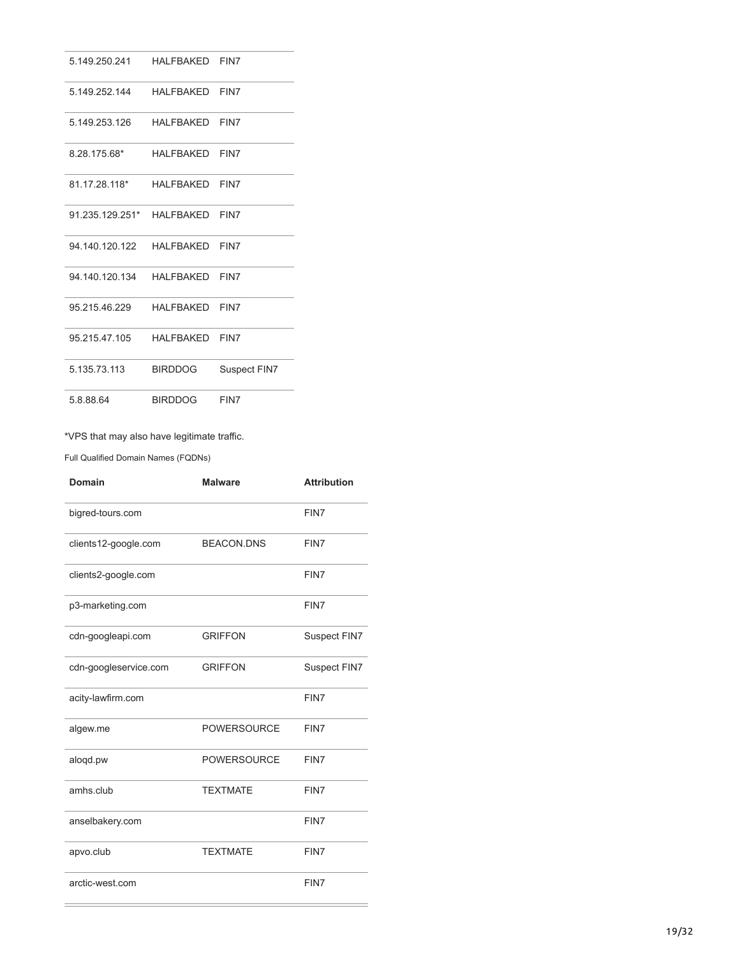| 5.149.250.241              | HAI FRAKFD     | FIN7         |
|----------------------------|----------------|--------------|
| 5 149 252 144              | HAI FRAKFD     | FIN7         |
| 5.149.253.126              | HAI FRAKFD     | FIN7         |
| 8.28.175.68*               | HALFBAKED      | FIN7         |
| 81 17 28 118*              | HAI FRAKFD     | FIN7         |
| 91 235 129 251* HAI FRAKED |                | FIN7         |
| 94 140 120 122             | HAI FRAKFD     | FIN7         |
| 94 140 120 134             | HAI FRAKFD     | FIN7         |
| 95 215 46 229              | HAI FRAKFD     | FIN7         |
| 95 215 47 105              | HAI FRAKFD     | FIN7         |
| 5 135 73 113               | <b>BIRDDOG</b> | Suspect FIN7 |
| 5.8.88.64                  | <b>BIRDDOG</b> | FIN7         |

# \*VPS that may also have legitimate traffic.

Full Qualified Domain Names (FQDNs)

| Domain                | <b>Malware</b>     | <b>Attribution</b> |
|-----------------------|--------------------|--------------------|
| bigred-tours.com      |                    | FIN7               |
| clients12-google.com  | <b>BEACON.DNS</b>  | FIN7               |
| clients2-google.com   |                    | FIN7               |
| p3-marketing.com      |                    | FIN7               |
| cdn-googleapi.com     | <b>GRIFFON</b>     | Suspect FIN7       |
| cdn-googleservice.com | <b>GRIFFON</b>     | Suspect FIN7       |
| acity-lawfirm.com     |                    | FIN7               |
| algew.me              | <b>POWERSOURCE</b> | FIN7               |
| aloqd.pw              | <b>POWERSOURCE</b> | FIN7               |
| amhs.club             | <b>TEXTMATE</b>    | FIN7               |
| anselbakery.com       |                    | FIN7               |
| apvo.club             | <b>TEXTMATE</b>    | FIN7               |
| arctic-west.com       |                    | FIN7               |
|                       |                    |                    |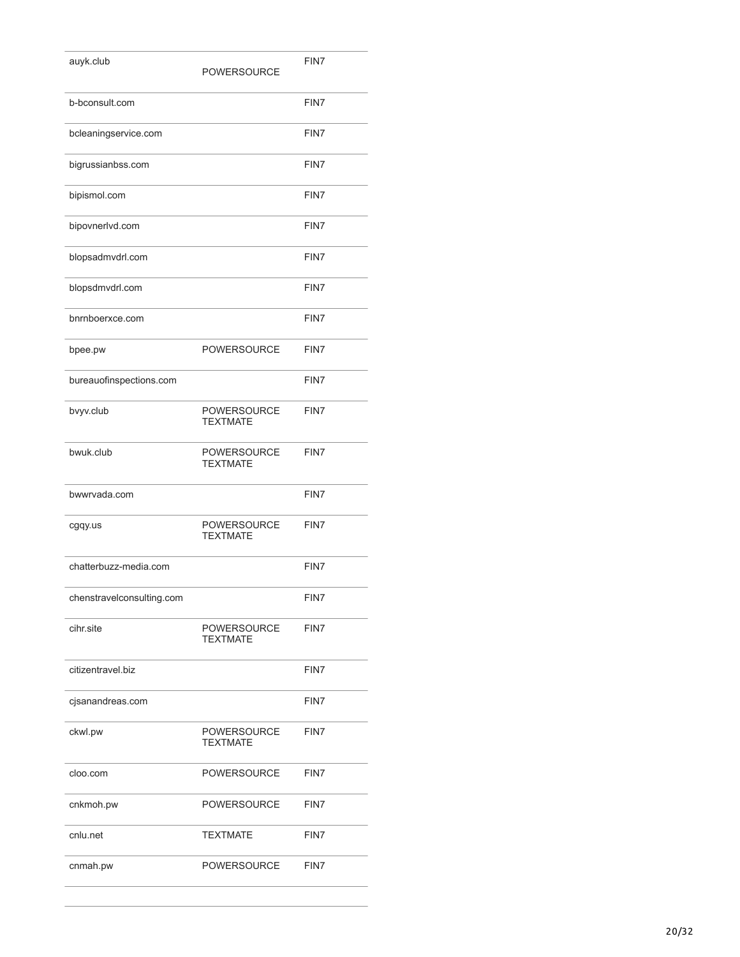| auyk.club                 | <b>POWERSOURCE</b>                    | FIN7 |
|---------------------------|---------------------------------------|------|
| b-bconsult.com            |                                       | FIN7 |
| bcleaningservice.com      |                                       | FIN7 |
| bigrussianbss.com         |                                       | FIN7 |
| bipismol.com              |                                       | FIN7 |
| bipovnerlvd.com           |                                       | FIN7 |
| blopsadmvdrl.com          |                                       | FIN7 |
| blopsdmvdrl.com           |                                       | FIN7 |
| bnrnboerxce.com           |                                       | FIN7 |
| bpee.pw                   | <b>POWERSOURCE</b>                    | FIN7 |
| bureauofinspections.com   |                                       | FIN7 |
| bvyv.club                 | <b>POWERSOURCE</b><br><b>TEXTMATE</b> | FIN7 |
| bwuk.club                 | <b>POWERSOURCE</b><br><b>TEXTMATE</b> | FIN7 |
| bwwrvada.com              |                                       | FIN7 |
| cgqy.us                   | <b>POWERSOURCE</b><br><b>TEXTMATE</b> | FIN7 |
| chatterbuzz-media.com     |                                       | FIN7 |
| chenstravelconsulting.com |                                       | FIN7 |
| cihr.site                 | <b>POWERSOURCE</b><br><b>TEXTMATE</b> | FIN7 |
| citizentravel.biz         |                                       | FIN7 |
| cjsanandreas.com          |                                       | FIN7 |
| ckwl.pw                   | <b>POWERSOURCE</b><br><b>TEXTMATE</b> | FIN7 |
| cloo.com                  | <b>POWERSOURCE</b>                    | FIN7 |
| cnkmoh.pw                 | <b>POWERSOURCE</b>                    | FIN7 |
| cnlu.net                  | <b>TEXTMATE</b>                       | FIN7 |
| cnmah.pw                  | <b>POWERSOURCE</b>                    | FIN7 |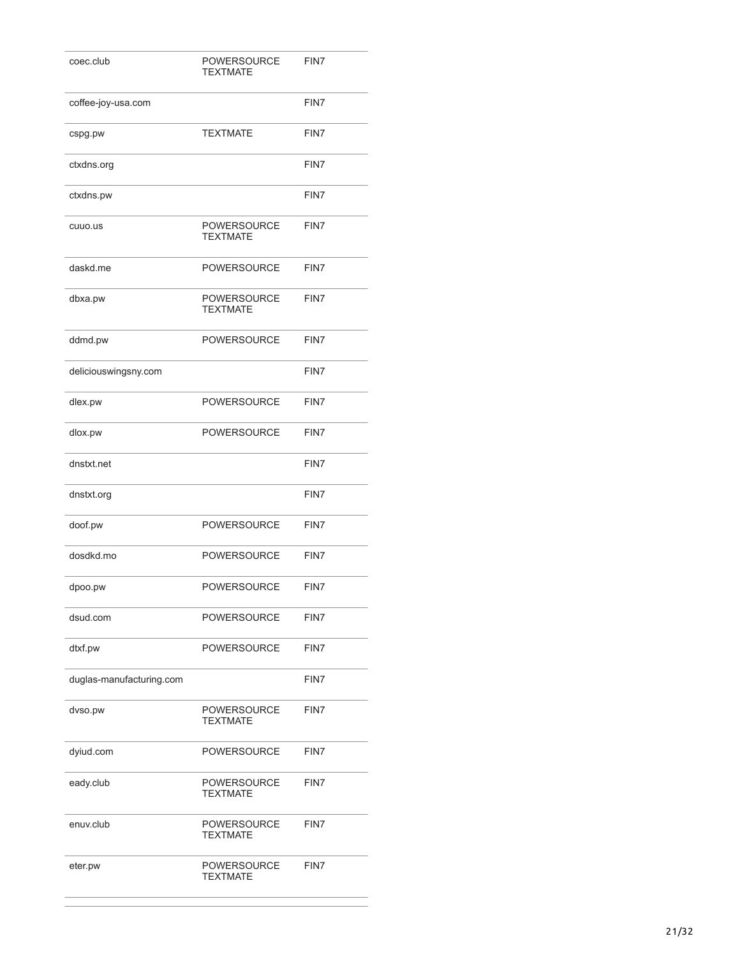| coec.club                | <b>POWERSOURCE</b><br><b>TEXTMATE</b> | FIN7 |
|--------------------------|---------------------------------------|------|
| coffee-joy-usa.com       |                                       | FIN7 |
| cspg.pw                  | <b>TEXTMATE</b>                       | FIN7 |
| ctxdns.org               |                                       | FIN7 |
| ctxdns.pw                |                                       | FIN7 |
| cuuo.us                  | <b>POWERSOURCE</b><br><b>TEXTMATE</b> | FIN7 |
| daskd.me                 | <b>POWERSOURCE</b>                    | FIN7 |
| dbxa.pw                  | <b>POWERSOURCE</b><br><b>TEXTMATE</b> | FIN7 |
| ddmd.pw                  | <b>POWERSOURCE</b>                    | FIN7 |
| deliciouswingsny.com     |                                       | FIN7 |
| dlex.pw                  | <b>POWERSOURCE</b>                    | FIN7 |
| dlox.pw                  | <b>POWERSOURCE</b>                    | FIN7 |
| dnstxt.net               |                                       | FIN7 |
| dnstxt.org               |                                       | FIN7 |
| doof.pw                  | <b>POWERSOURCE</b>                    | FIN7 |
| dosdkd.mo                | <b>POWERSOURCE</b>                    | FIN7 |
| dpoo.pw                  | POWERSOURCE                           | FIN7 |
| dsud.com                 | <b>POWERSOURCE</b>                    | FIN7 |
| dtxf.pw                  | <b>POWERSOURCE</b>                    | FIN7 |
| duglas-manufacturing.com |                                       | FIN7 |
| dvso.pw                  | <b>POWERSOURCE</b><br><b>TEXTMATE</b> | FIN7 |
| dyiud.com                | <b>POWERSOURCE</b>                    | FIN7 |
| eady.club                | <b>POWERSOURCE</b><br><b>TEXTMATE</b> | FIN7 |
| enuv.club                | <b>POWERSOURCE</b><br><b>TEXTMATE</b> | FIN7 |
| eter.pw                  | <b>POWERSOURCE</b><br><b>TEXTMATE</b> | FIN7 |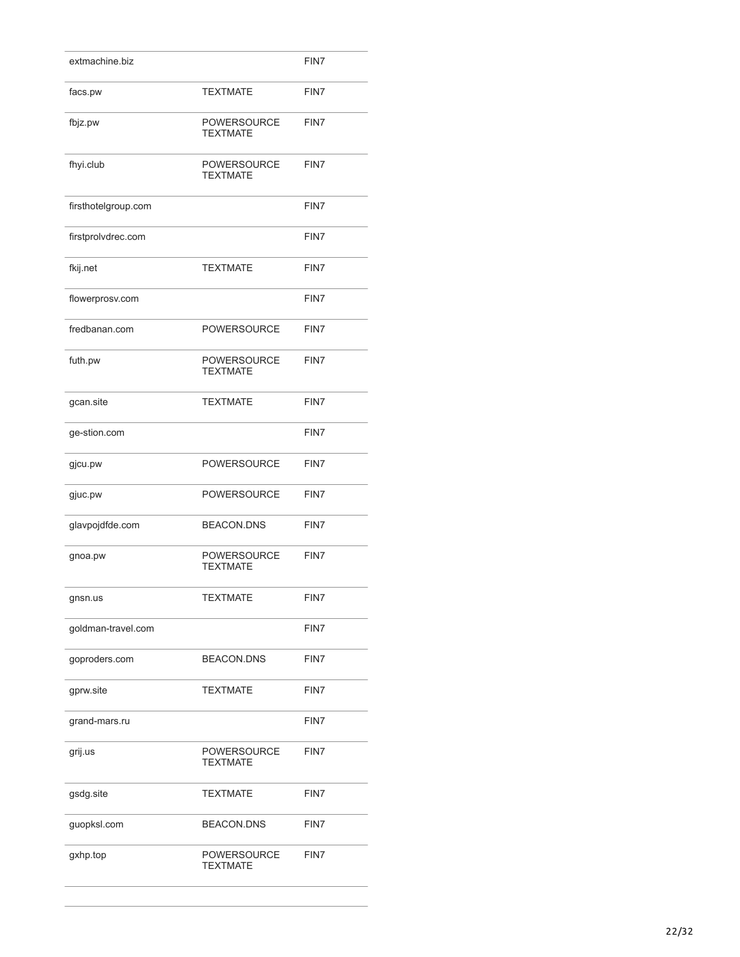| extmachine.biz      |                                       | FIN7 |
|---------------------|---------------------------------------|------|
| facs.pw             | <b>TEXTMATE</b>                       | FIN7 |
| fbjz.pw             | <b>POWERSOURCE</b><br><b>TEXTMATE</b> | FIN7 |
| fhyi.club           | <b>POWERSOURCE</b><br><b>TEXTMATE</b> | FIN7 |
| firsthotelgroup.com |                                       | FIN7 |
| firstprolvdrec.com  |                                       | FIN7 |
| fkij.net            | <b>TEXTMATE</b>                       | FIN7 |
| flowerprosv.com     |                                       | FIN7 |
| fredbanan.com       | <b>POWERSOURCE</b>                    | FIN7 |
| futh.pw             | <b>POWERSOURCE</b><br><b>TEXTMATE</b> | FIN7 |
| gcan.site           | <b>TEXTMATE</b>                       | FIN7 |
| ge-stion.com        |                                       | FIN7 |
| gjcu.pw             | <b>POWERSOURCE</b>                    | FIN7 |
| gjuc.pw             | <b>POWERSOURCE</b>                    | FIN7 |
| glavpojdfde.com     | <b>BEACON.DNS</b>                     | FIN7 |
| gnoa.pw             | <b>POWERSOURCE</b><br><b>TEXTMATE</b> | FIN7 |
| gnsn.us             | <b>TEXTMATE</b>                       | FIN7 |
| goldman-travel.com  |                                       | FIN7 |
| goproders.com       | <b>BEACON.DNS</b>                     | FIN7 |
| gprw.site           | <b>TEXTMATE</b>                       | FIN7 |
| grand-mars.ru       |                                       | FIN7 |
| grij.us             | <b>POWERSOURCE</b><br><b>TEXTMATE</b> | FIN7 |
| gsdg.site           | <b>TEXTMATE</b>                       | FIN7 |
| guopksl.com         | <b>BEACON.DNS</b>                     | FIN7 |
| gxhp.top            | <b>POWERSOURCE</b><br><b>TEXTMATE</b> | FIN7 |
|                     |                                       |      |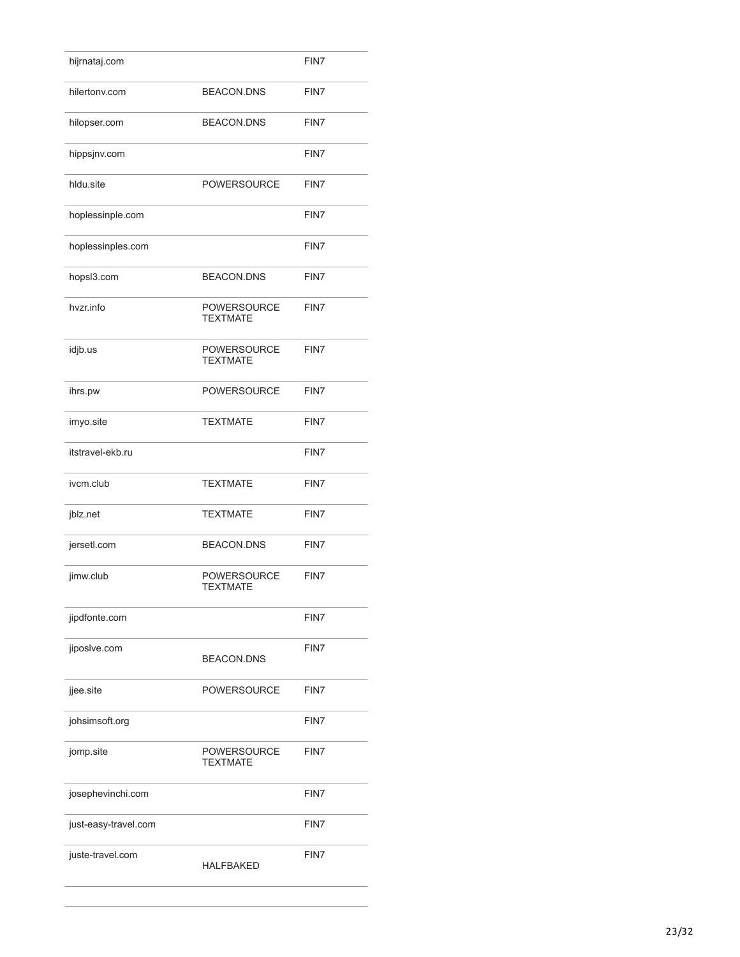| hijrnataj.com        |                                       | FIN7 |
|----------------------|---------------------------------------|------|
| hilertonv.com        | <b>BEACON.DNS</b>                     | FIN7 |
| hilopser.com         | <b>BEACON.DNS</b>                     | FIN7 |
| hippsjnv.com         |                                       | FIN7 |
| hldu.site            | <b>POWERSOURCE</b>                    | FIN7 |
| hoplessinple.com     |                                       | FIN7 |
| hoplessinples.com    |                                       | FIN7 |
| hopsl3.com           | <b>BEACON.DNS</b>                     | FIN7 |
| hvzr.info            | <b>POWERSOURCE</b><br><b>TEXTMATE</b> | FIN7 |
| idjb.us              | <b>POWERSOURCE</b><br><b>TEXTMATE</b> | FIN7 |
| ihrs.pw              | <b>POWERSOURCE</b>                    | FIN7 |
| imyo.site            | <b>TEXTMATE</b>                       | FIN7 |
| itstravel-ekb.ru     |                                       | FIN7 |
| ivcm.club            | <b>TEXTMATE</b>                       | FIN7 |
| jblz.net             | <b>TEXTMATE</b>                       | FIN7 |
| jersetl.com          | <b>BEACON.DNS</b>                     | FIN7 |
| jimw.club            | POWERSOURCE<br><b>TEXTMATE</b>        | FIN7 |
| jipdfonte.com        |                                       | FIN7 |
| jiposlve.com         | <b>BEACON.DNS</b>                     | FIN7 |
| jjee.site            | <b>POWERSOURCE</b>                    | FIN7 |
| johsimsoft.org       |                                       | FIN7 |
| jomp.site            | <b>POWERSOURCE</b><br><b>TEXTMATE</b> | FIN7 |
| josephevinchi.com    |                                       | FIN7 |
|                      |                                       |      |
| just-easy-travel.com |                                       | FIN7 |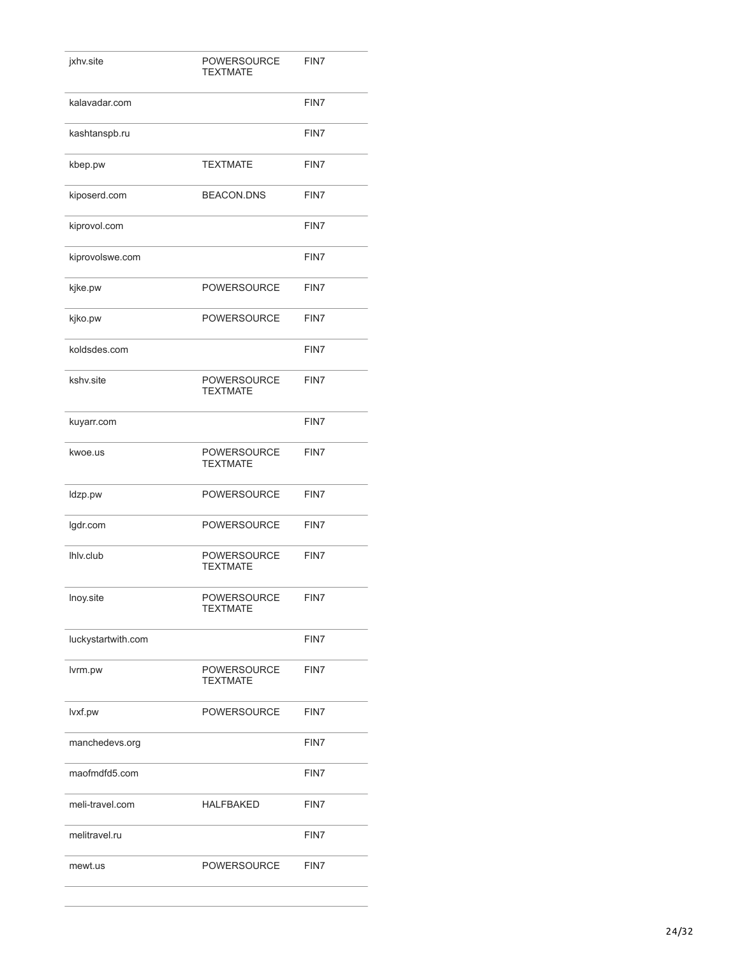| jxhv.site          | <b>POWERSOURCE</b><br><b>TEXTMATE</b> | FIN7 |
|--------------------|---------------------------------------|------|
| kalavadar.com      |                                       | FIN7 |
| kashtanspb.ru      |                                       | FIN7 |
| kbep.pw            | <b>TEXTMATE</b>                       | FIN7 |
| kiposerd.com       | <b>BEACON.DNS</b>                     | FIN7 |
| kiprovol.com       |                                       | FIN7 |
| kiprovolswe.com    |                                       | FIN7 |
| kjke.pw            | <b>POWERSOURCE</b>                    | FIN7 |
| kjko.pw            | <b>POWERSOURCE</b>                    | FIN7 |
| koldsdes.com       |                                       | FIN7 |
| kshv.site          | <b>POWERSOURCE</b><br><b>TEXTMATE</b> | FIN7 |
| kuyarr.com         |                                       | FIN7 |
| kwoe.us            | <b>POWERSOURCE</b><br><b>TEXTMATE</b> | FIN7 |
| Idzp.pw            | <b>POWERSOURCE</b>                    | FIN7 |
| lgdr.com           | <b>POWERSOURCE</b>                    | FIN7 |
| Ihly.club          | <b>POWERSOURCE</b><br><b>TEXTMATE</b> | FIN7 |
| Inoy.site          | <b>POWERSOURCE</b><br>TEXTMATE        | FIN7 |
| luckystartwith.com |                                       | FIN7 |
| lvrm.pw            | <b>POWERSOURCE</b><br><b>TEXTMATE</b> | FIN7 |
| lvxf.pw            | <b>POWERSOURCE</b>                    | FIN7 |
| manchedevs.org     |                                       | FIN7 |
| maofmdfd5.com      |                                       | FIN7 |
| meli-travel.com    | <b>HALFBAKED</b>                      | FIN7 |
| melitravel.ru      |                                       | FIN7 |
| mewt.us            | <b>POWERSOURCE</b>                    | FIN7 |
|                    |                                       |      |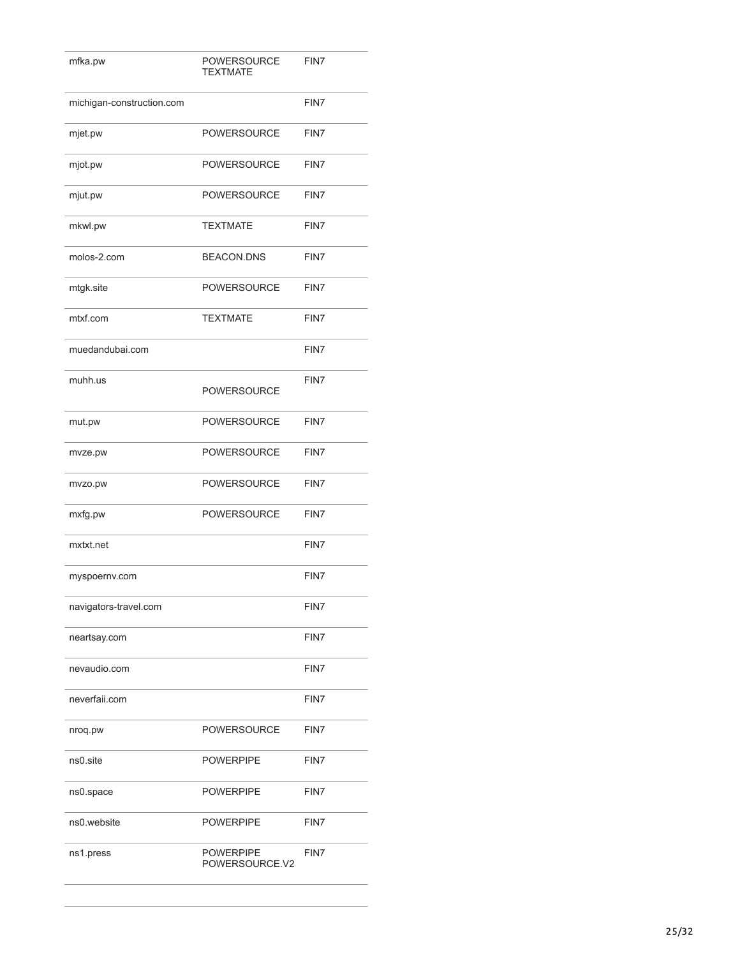| mfka.pw                   | <b>POWERSOURCE</b><br><b>TEXTMATE</b> | FIN7 |
|---------------------------|---------------------------------------|------|
| michigan-construction.com |                                       | FIN7 |
| mjet.pw                   | POWERSOURCE                           | FIN7 |
| mjot.pw                   | <b>POWERSOURCE</b>                    | FIN7 |
| mjut.pw                   | <b>POWERSOURCE</b>                    | FIN7 |
| mkwl.pw                   | <b>TEXTMATE</b>                       | FIN7 |
| molos-2.com               | <b>BEACON.DNS</b>                     | FIN7 |
| mtgk.site                 | <b>POWERSOURCE</b>                    | FIN7 |
| mtxf.com                  | <b>TEXTMATE</b>                       | FIN7 |
| muedandubai.com           |                                       | FIN7 |
| muhh.us                   | POWERSOURCE                           | FIN7 |
| mut.pw                    | POWERSOURCE                           | FIN7 |
| mvze.pw                   | POWERSOURCE                           | FIN7 |
| mvzo.pw                   | <b>POWERSOURCE</b>                    | FIN7 |
| mxfg.pw                   | <b>POWERSOURCE</b>                    | FIN7 |
| mxtxt.net                 |                                       | FIN7 |
| myspoernv.com             |                                       | FIN7 |
| navigators-travel.com     |                                       | FIN7 |
| neartsay.com              |                                       | FIN7 |
| nevaudio.com              |                                       | FIN7 |
| neverfaii.com             |                                       | FIN7 |
| nroq.pw                   | <b>POWERSOURCE</b>                    | FIN7 |
| ns0.site                  | <b>POWERPIPE</b>                      | FIN7 |
| ns0.space                 | <b>POWERPIPE</b>                      | FIN7 |
| ns0.website               | <b>POWERPIPE</b>                      | FIN7 |
| ns1.press                 | POWERPIPE<br>POWERSOURCE.V2           | FIN7 |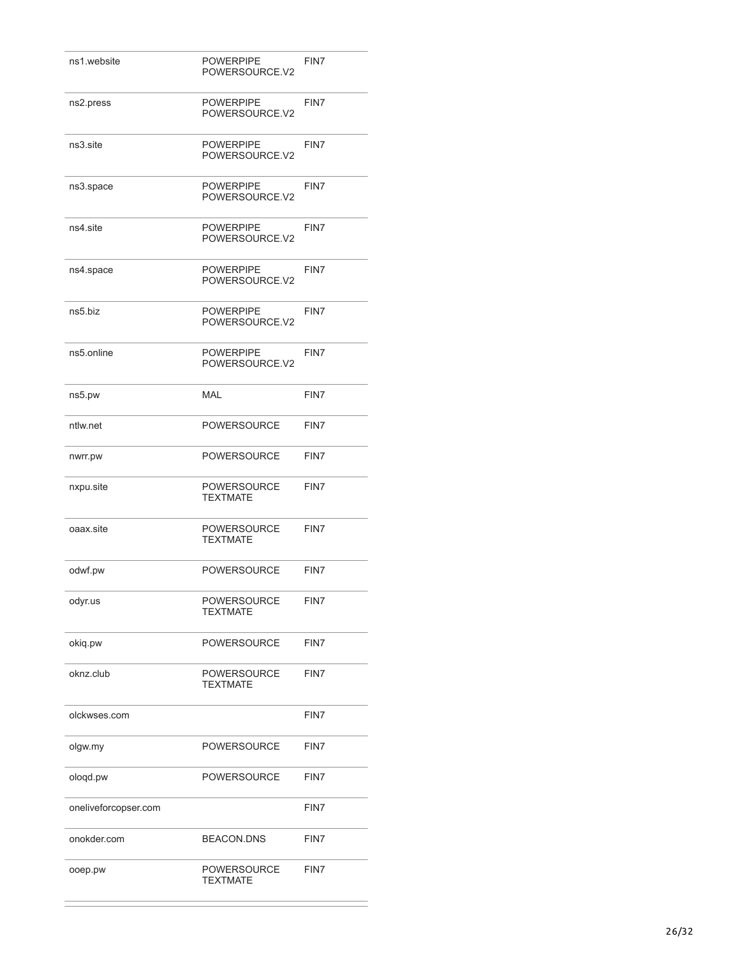| ns1.website          | <b>POWERPIPE</b><br>POWERSOURCE.V2    | FIN7 |
|----------------------|---------------------------------------|------|
| ns2.press            | <b>POWERPIPE</b><br>POWERSOURCE.V2    | FIN7 |
| ns3.site             | <b>POWERPIPE</b><br>POWERSOURCE.V2    | FIN7 |
| ns3.space            | <b>POWERPIPE</b><br>POWERSOURCE.V2    | FIN7 |
| ns4.site             | <b>POWERPIPE</b><br>POWERSOURCE.V2    | FIN7 |
| ns4.space            | <b>POWERPIPE</b><br>POWERSOURCE.V2    | FIN7 |
| ns5.biz              | <b>POWERPIPE</b><br>POWERSOURCE.V2    | FIN7 |
| ns5.online           | <b>POWERPIPE</b><br>POWERSOURCE.V2    | FIN7 |
| ns5.pw               | <b>MAL</b>                            | FIN7 |
| ntlw.net             | <b>POWERSOURCE</b>                    | FIN7 |
| nwrr.pw              | <b>POWERSOURCE</b>                    | FIN7 |
| nxpu.site            | <b>POWERSOURCE</b><br><b>TEXTMATE</b> | FIN7 |
| oaax.site            | <b>POWERSOURCE</b><br><b>TEXTMATE</b> | FIN7 |
| odwf.pw              | <b>POWERSOURCE</b>                    | FIN7 |
| odyr.us              | <b>POWERSOURCE</b><br><b>TEXTMATE</b> | FIN7 |
| okiq.pw              | <b>POWERSOURCE</b>                    | FIN7 |
| oknz.club            | <b>POWERSOURCE</b><br><b>TEXTMATE</b> | FIN7 |
| olckwses.com         |                                       | FIN7 |
| olgw.my              | <b>POWERSOURCE</b>                    | FIN7 |
| ologd.pw             | <b>POWERSOURCE</b>                    | FIN7 |
| oneliveforcopser.com |                                       | FIN7 |
| onokder.com          | <b>BEACON.DNS</b>                     | FIN7 |
| ooep.pw              | POWERSOURCE<br><b>TEXTMATE</b>        | FIN7 |

í.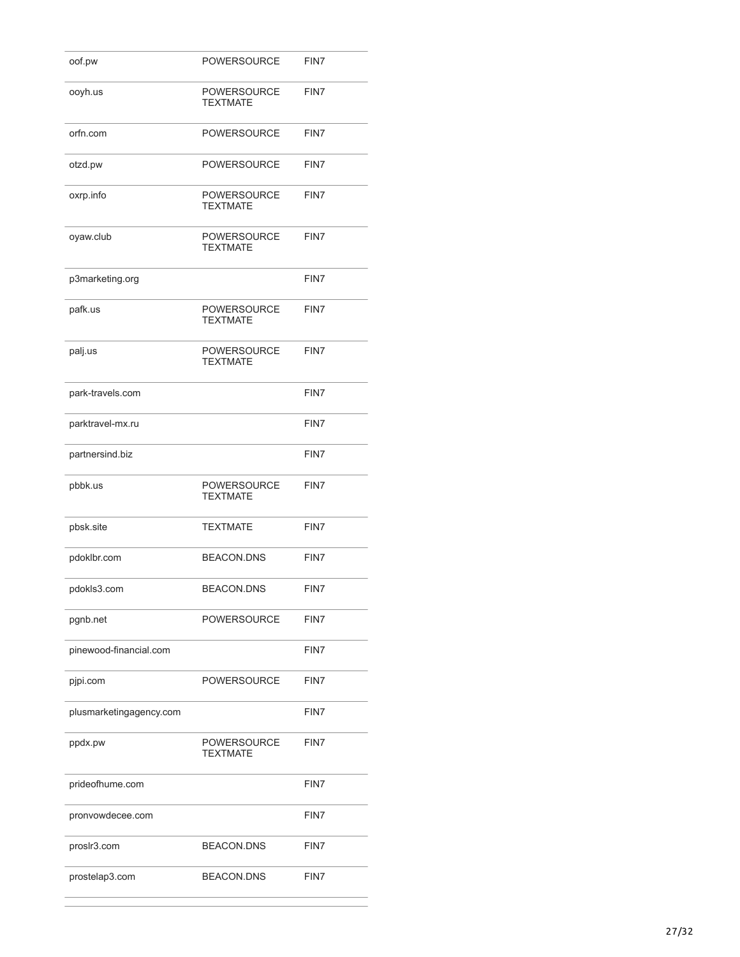| oof.pw                  | <b>POWERSOURCE</b>                    | FIN7 |
|-------------------------|---------------------------------------|------|
| ooyh.us                 | <b>POWERSOURCE</b><br><b>TEXTMATE</b> | FIN7 |
| orfn.com                | <b>POWERSOURCE</b>                    | FIN7 |
| otzd.pw                 | <b>POWERSOURCE</b>                    | FIN7 |
| oxrp.info               | <b>POWERSOURCE</b><br><b>TEXTMATE</b> | FIN7 |
| oyaw.club               | <b>POWERSOURCE</b><br><b>TEXTMATE</b> | FIN7 |
| p3marketing.org         |                                       | FIN7 |
| pafk.us                 | <b>POWERSOURCE</b><br><b>TEXTMATE</b> | FIN7 |
| palj.us                 | <b>POWERSOURCE</b><br><b>TEXTMATE</b> | FIN7 |
| park-travels.com        |                                       | FIN7 |
| parktravel-mx.ru        |                                       | FIN7 |
| partnersind.biz         |                                       | FIN7 |
| pbbk.us                 | <b>POWERSOURCE</b><br><b>TEXTMATE</b> | FIN7 |
| pbsk.site               | <b>TEXTMATE</b>                       | FIN7 |
| pdoklbr.com             | <b>BEACON.DNS</b>                     | FIN7 |
| pdokls3.com             | <b>BEACON.DNS</b>                     | FIN7 |
| pgnb.net                | <b>POWERSOURCE</b>                    | FIN7 |
| pinewood-financial.com  |                                       | FIN7 |
| pjpi.com                | <b>POWERSOURCE</b>                    | FIN7 |
| plusmarketingagency.com |                                       | FIN7 |
| ppdx.pw                 | <b>POWERSOURCE</b><br><b>TEXTMATE</b> | FIN7 |
| prideofhume.com         |                                       | FIN7 |
| pronvowdecee.com        |                                       | FIN7 |
| proslr3.com             | <b>BEACON.DNS</b>                     | FIN7 |
| prostelap3.com          | <b>BEACON.DNS</b>                     | FIN7 |

 $\overline{a}$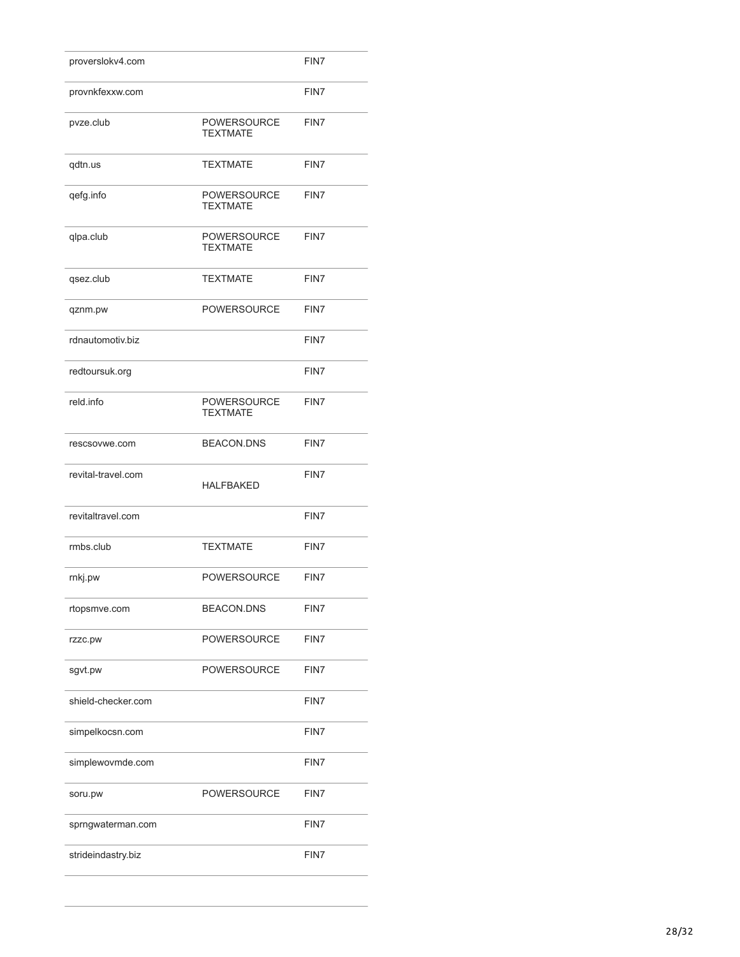| proverslokv4.com   |                                       | FIN7 |
|--------------------|---------------------------------------|------|
| provnkfexxw.com    |                                       | FIN7 |
| pvze.club          | <b>POWERSOURCE</b><br><b>TEXTMATE</b> | FIN7 |
| qdtn.us            | <b>TEXTMATE</b>                       | FIN7 |
| qefg.info          | <b>POWERSOURCE</b><br><b>TEXTMATE</b> | FIN7 |
| qlpa.club          | <b>POWERSOURCE</b><br><b>TEXTMATE</b> | FIN7 |
| qsez.club          | <b>TEXTMATE</b>                       | FIN7 |
| qznm.pw            | <b>POWERSOURCE</b>                    | FIN7 |
| rdnautomotiv.biz   |                                       | FIN7 |
| redtoursuk.org     |                                       | FIN7 |
| reld.info          | POWERSOURCE<br><b>TEXTMATE</b>        | FIN7 |
| rescsovwe.com      | <b>BEACON.DNS</b>                     | FIN7 |
| revital-travel.com | <b>HALFBAKED</b>                      | FIN7 |
| revitaltravel.com  |                                       | FIN7 |
| rmbs.club          | <b>TEXTMATE</b>                       | FIN7 |
| rnkj.pw            | <b>POWERSOURCE</b>                    | FIN7 |
| rtopsmve.com       | <b>BEACON.DNS</b>                     | FIN7 |
| rzzc.pw            | POWERSOURCE                           | FIN7 |
| sgvt.pw            | POWERSOURCE                           | FIN7 |
| shield-checker.com |                                       | FIN7 |
| simpelkocsn.com    |                                       | FIN7 |
| simplewovmde.com   |                                       | FIN7 |
| soru.pw            | <b>POWERSOURCE</b>                    | FIN7 |
| sprngwaterman.com  |                                       | FIN7 |
| strideindastry.biz |                                       | FIN7 |
|                    |                                       |      |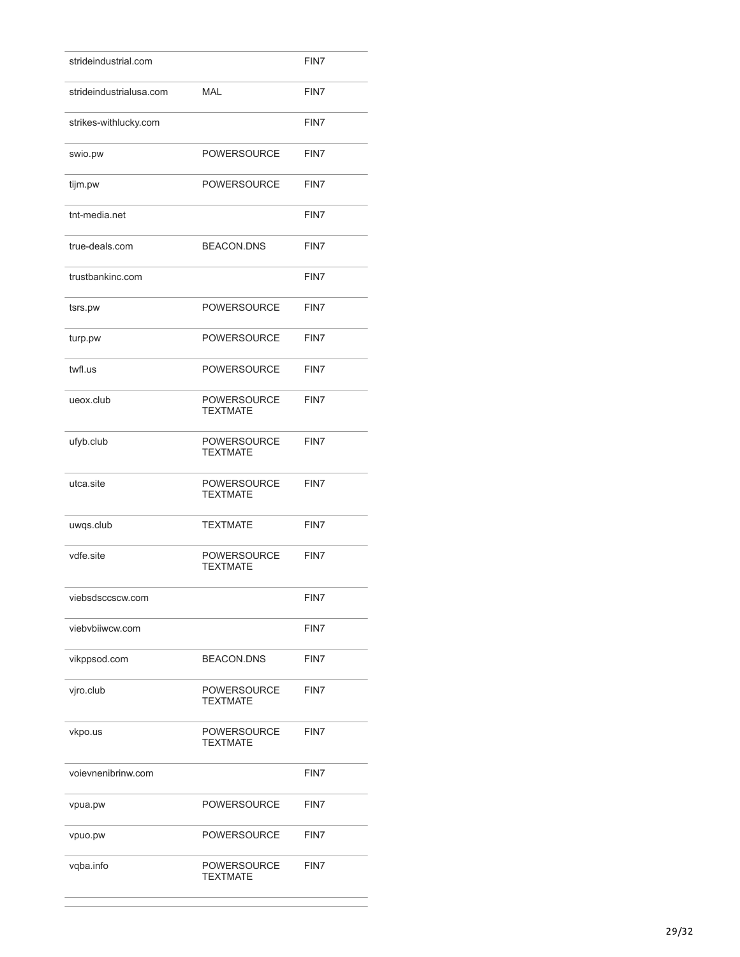| strideindustrial.com    |                                       | FIN7 |
|-------------------------|---------------------------------------|------|
| strideindustrialusa.com | <b>MAL</b>                            | FIN7 |
| strikes-withlucky.com   |                                       | FIN7 |
| swio.pw                 | <b>POWERSOURCE</b>                    | FIN7 |
| tijm.pw                 | <b>POWERSOURCE</b>                    | FIN7 |
| tnt-media.net           |                                       | FIN7 |
| true-deals.com          | <b>BEACON.DNS</b>                     | FIN7 |
| trustbankinc.com        |                                       | FIN7 |
| tsrs.pw                 | <b>POWERSOURCE</b>                    | FIN7 |
| turp.pw                 | <b>POWERSOURCE</b>                    | FIN7 |
| twfl.us                 | <b>POWERSOURCE</b>                    | FIN7 |
| ueox.club               | <b>POWERSOURCE</b><br><b>TEXTMATE</b> | FIN7 |
| ufyb.club               | <b>POWERSOURCE</b><br><b>TEXTMATE</b> | FIN7 |
| utca.site               | <b>POWERSOURCE</b><br><b>TEXTMATE</b> | FIN7 |
| uwqs.club               | <b>TEXTMATE</b>                       | FIN7 |
| vdfe site               | <b>POWERSOURCE</b><br><b>TEXTMATE</b> | FIN7 |
| viebsdsccscw.com        |                                       | FIN7 |
| viebvbiiwcw.com         |                                       | FIN7 |
| vikppsod.com            | <b>BEACON.DNS</b>                     | FIN7 |
| vjro.club               | <b>POWERSOURCE</b><br><b>TEXTMATE</b> | FIN7 |
| vkpo.us                 | <b>POWERSOURCE</b><br><b>TEXTMATE</b> | FIN7 |
| voievnenibrinw.com      |                                       | FIN7 |
| vpua.pw                 | <b>POWERSOURCE</b>                    | FIN7 |
| vpuo.pw                 | <b>POWERSOURCE</b>                    | FIN7 |
| vqba.info               | <b>POWERSOURCE</b><br><b>TEXTMATE</b> | FIN7 |
|                         |                                       |      |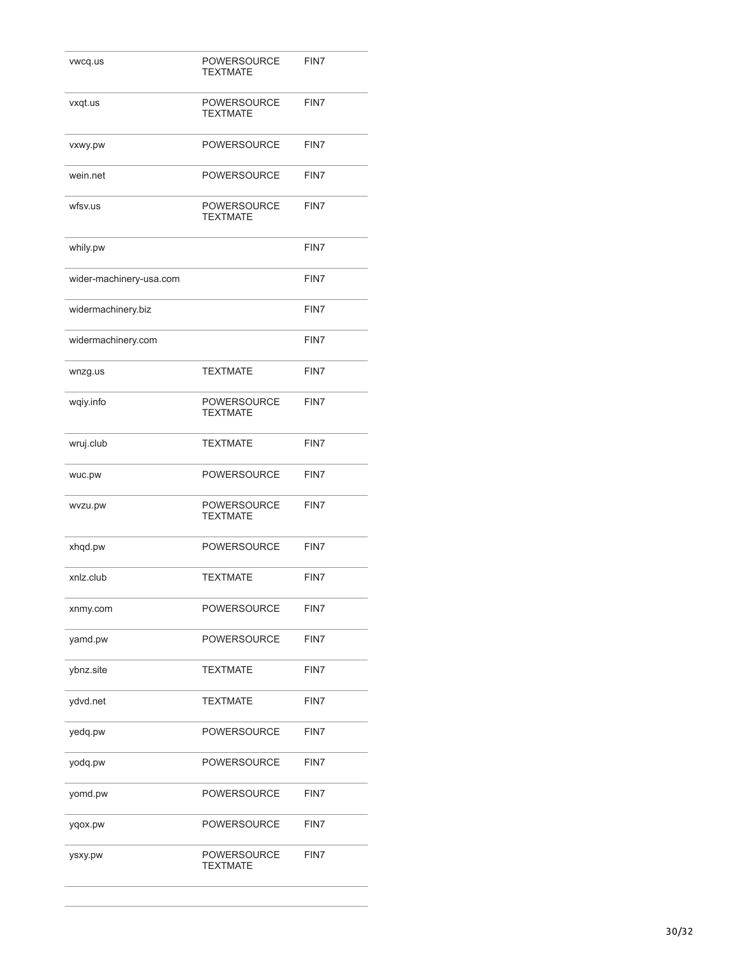| vwcq.us                 | <b>POWERSOURCE</b><br><b>TEXTMATE</b> | FIN7 |
|-------------------------|---------------------------------------|------|
| vxqt.us                 | <b>POWERSOURCE</b><br><b>TEXTMATE</b> | FIN7 |
| vxwy.pw                 | <b>POWERSOURCE</b>                    | FIN7 |
| wein.net                | <b>POWERSOURCE</b>                    | FIN7 |
| wfsv.us                 | <b>POWERSOURCE</b><br><b>TEXTMATE</b> | FIN7 |
| whily.pw                |                                       | FIN7 |
| wider-machinery-usa.com |                                       | FIN7 |
| widermachinery.biz      |                                       | FIN7 |
| widermachinery.com      |                                       | FIN7 |
| wnzg.us                 | <b>TEXTMATE</b>                       | FIN7 |
| wqiy.info               | <b>POWERSOURCE</b><br><b>TEXTMATE</b> | FIN7 |
| wruj.club               | <b>TEXTMATE</b>                       | FIN7 |
| wuc.pw                  | <b>POWERSOURCE</b>                    | FIN7 |
| wvzu.pw                 | <b>POWERSOURCE</b><br><b>TEXTMATE</b> | FIN7 |
| xhqd.pw                 | <b>POWERSOURCE</b>                    | FIN7 |
| xnlz.club               | <b>TEXTMATE</b>                       | FIN7 |
| xnmy.com                | <b>POWERSOURCE</b>                    | FIN7 |
| yamd.pw                 | <b>POWERSOURCE</b>                    | FIN7 |
| ybnz.site               | <b>TEXTMATE</b>                       | FIN7 |
| ydvd.net                | <b>TEXTMATE</b>                       | FIN7 |
| yedq.pw                 | <b>POWERSOURCE</b>                    | FIN7 |
| yodq.pw                 | <b>POWERSOURCE</b>                    | FIN7 |
| yomd.pw                 | <b>POWERSOURCE</b>                    | FIN7 |
| yqox.pw                 | <b>POWERSOURCE</b>                    | FIN7 |
| ysxy.pw                 | <b>POWERSOURCE</b><br><b>TEXTMATE</b> | FIN7 |
|                         |                                       |      |

L.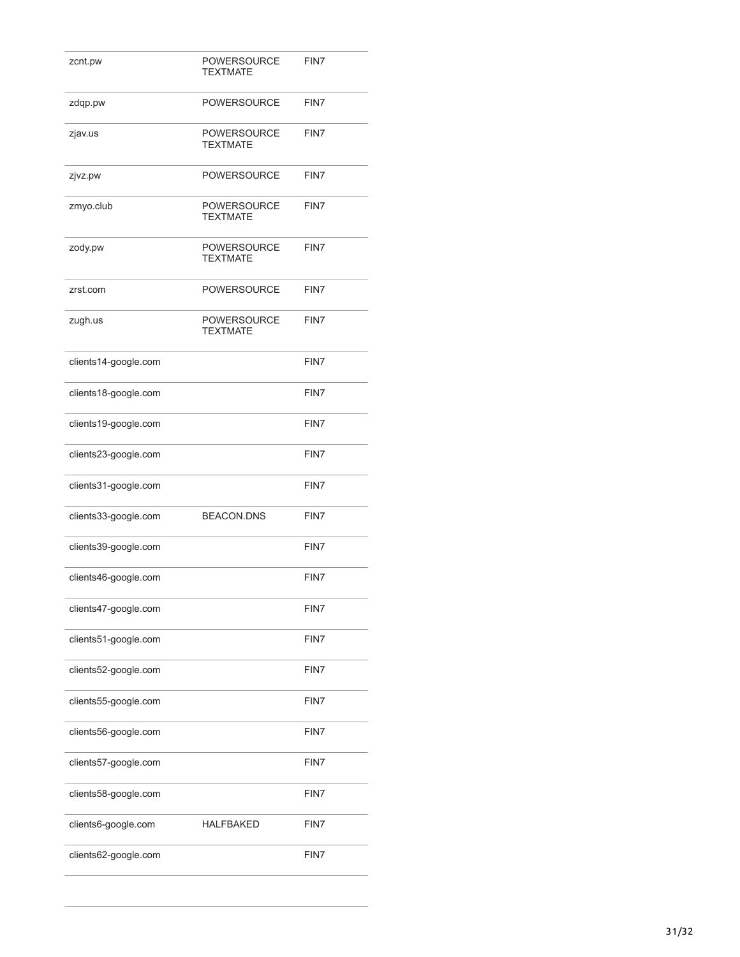| zcnt.pw              | POWERSOURCE<br><b>TEXTMATE</b>        | FIN7 |
|----------------------|---------------------------------------|------|
| zdqp.pw              | <b>POWERSOURCE</b>                    | FIN7 |
| zjav.us              | POWERSOURCE<br><b>TEXTMATE</b>        | FIN7 |
| zjvz.pw              | <b>POWERSOURCE</b>                    | FIN7 |
| zmyo.club            | POWERSOURCE<br><b>TEXTMATE</b>        | FIN7 |
| zody.pw              | POWERSOURCE<br><b>TEXTMATE</b>        | FIN7 |
| zrst.com             | POWERSOURCE                           | FIN7 |
| zugh.us              | <b>POWERSOURCE</b><br><b>TEXTMATE</b> | FIN7 |
| clients14-google.com |                                       | FIN7 |
| clients18-google.com |                                       | FIN7 |
| clients19-google.com |                                       | FIN7 |
| clients23-google.com |                                       | FIN7 |
| clients31-google.com |                                       | FIN7 |
| clients33-google.com | <b>BEACON.DNS</b>                     | FIN7 |
| clients39-google.com |                                       | FIN7 |
| clients46-google.com |                                       | FIN7 |
| clients47-google.com |                                       | FIN7 |
| clients51-google.com |                                       | FIN7 |
| clients52-google.com |                                       | FIN7 |
| clients55-google.com |                                       | FIN7 |
| clients56-google.com |                                       | FIN7 |
| clients57-google.com |                                       | FIN7 |
| clients58-google.com |                                       | FIN7 |
| clients6-google.com  | HALFBAKED                             | FIN7 |
| clients62-google.com |                                       | FIN7 |